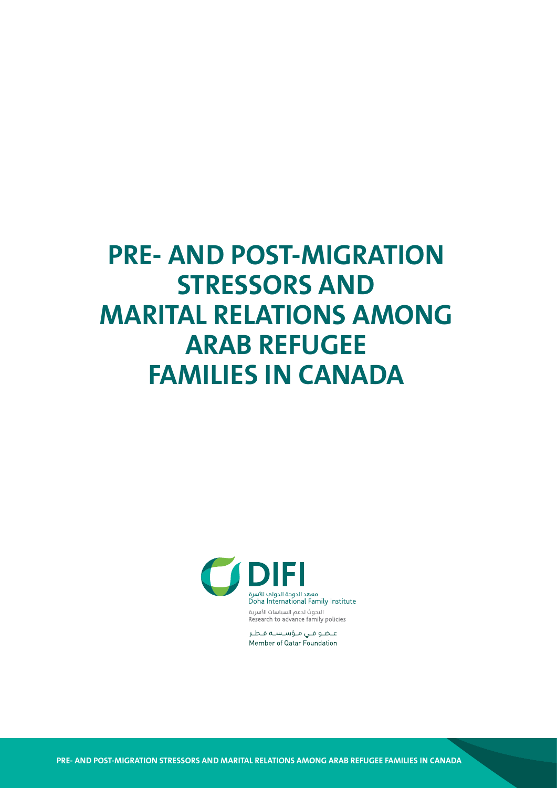# **PRE- AND POST-MIGRATION STRESSORS AND MARITAL RELATIONS AMONG ARAB REFUGEE FAMILIES IN CANADA**



عضو فى مؤسسة قطر Member of Qatar Foundation

**PRE- AND POST-MIGRATION STRESSORS AND MARITAL RELATIONS AMONG ARAB REFUGEE FAMILIES IN CANADA**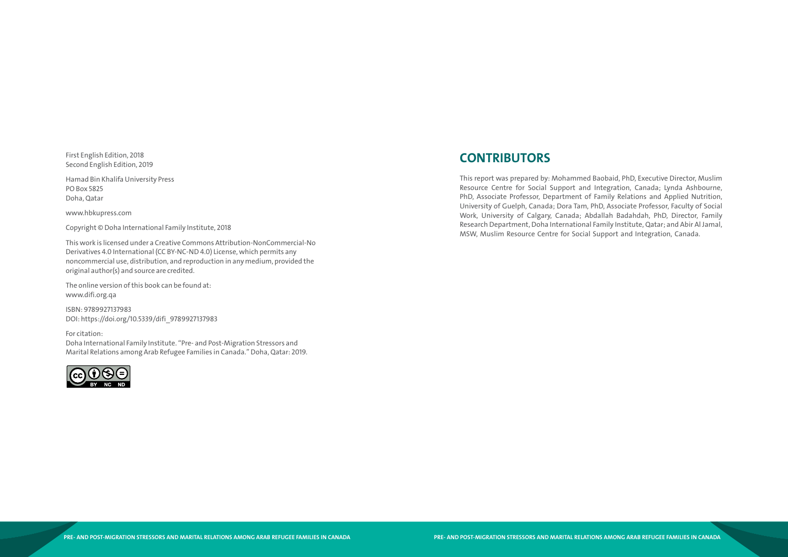First English Edition, 2018 Second English Edition, 2019

Hamad Bin Khalifa University Press PO Box 5825 Doha, Qatar

www.hbkupress.com

Copyright © Doha International Family Institute, 2018

This work is licensed under a Creative Commons Attribution-NonCommercial-No Derivatives 4.0 International (CC BY-NC-ND 4.0) License, which permits any noncommercial use, distribution, and reproduction in any medium, provided the original author(s) and source are credited.

The online version of this book can be found at: www.difi.org.qa

ISBN: 9789927137983 DOI: https://doi.org/10.5339/difi\_9789927137983

For citation: Doha International Family Institute. "Pre- and Post-Migration Stressors and Marital Relations among Arab Refugee Families in Canada." Doha, Qatar: 2019.



# **CONTRIBUTORS**

This report was prepared by: Mohammed Baobaid, PhD, Executive Director, Muslim Resource Centre for Social Support and Integration, Canada; Lynda Ashbourne, PhD, Associate Professor, Department of Family Relations and Applied Nutrition, University of Guelph, Canada; Dora Tam, PhD, Associate Professor, Faculty of Social Work, University of Calgary, Canada; Abdallah Badahdah, PhD, Director, Family Research Department, Doha International Family Institute, Qatar; and Abir Al Jamal, MSW, Muslim Resource Centre for Social Support and Integration, Canada.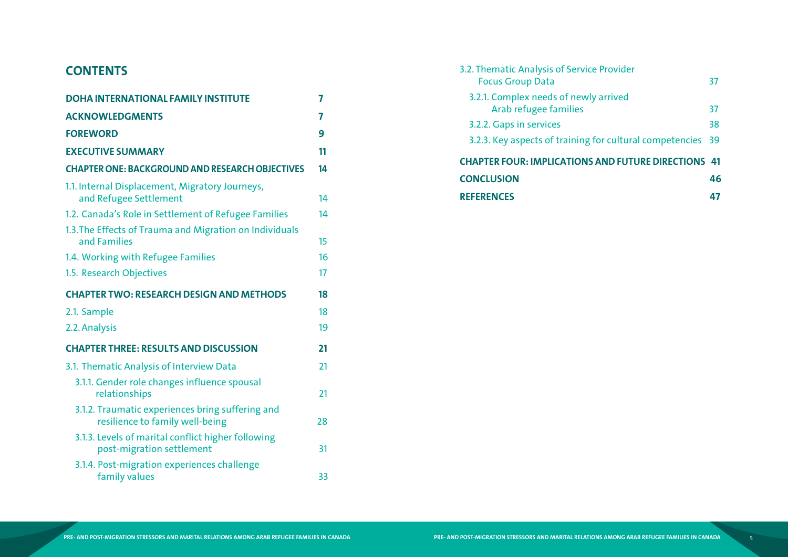# **CONTENTS**

| <b>DOHA INTERNATIONAL FAMILY INSTITUTE</b>                                          | 7  |
|-------------------------------------------------------------------------------------|----|
| <b>ACKNOWLEDGMENTS</b>                                                              | 7  |
| <b>FOREWORD</b>                                                                     | 9  |
| <b>EXECUTIVE SUMMARY</b>                                                            | 11 |
| <b>CHAPTER ONE: BACKGROUND AND RESEARCH OBJECTIVES</b>                              | 14 |
| 1.1. Internal Displacement, Migratory Journeys,<br>and Refugee Settlement           | 14 |
| 1.2. Canada's Role in Settlement of Refugee Families                                | 14 |
| 1.3. The Effects of Trauma and Migration on Individuals<br>and Families             | 15 |
| 1.4. Working with Refugee Families                                                  | 16 |
| 1.5. Research Objectives                                                            | 17 |
| <b>CHAPTER TWO: RESEARCH DESIGN AND METHODS</b>                                     | 18 |
| 2.1. Sample                                                                         | 18 |
| 2.2. Analysis                                                                       | 19 |
| <b>CHAPTER THREE: RESULTS AND DISCUSSION</b>                                        | 21 |
| 3.1. Thematic Analysis of Interview Data                                            | 21 |
| 3.1.1. Gender role changes influence spousal<br>relationships                       | 21 |
| 3.1.2. Traumatic experiences bring suffering and<br>resilience to family well-being | 28 |
| 3.1.3. Levels of marital conflict higher following<br>post-migration settlement     | 31 |
| 3.1.4. Post-migration experiences challenge<br>family values                        | 33 |

- 3.2. Thematic Analysis of Service [Focus Group Data](#page-19-0) 3.2.1. Complex needs of newly arrived
	- 3.2.2. Gaps in services
	- 3.2.3. Key aspects of training for

# **CHAPTER FOUR: IMPLICATIONS [CONCLUSION](#page-24-0) 46**

| matic Analysis of Service Provider<br>us Group Data:                  | 37 |
|-----------------------------------------------------------------------|----|
| <b>Complex needs of newly arrived</b><br><b>Arab refugee families</b> | 37 |
| <b>Gaps in services</b>                                               | 38 |
| Key aspects of training for cultural competencies 39                  |    |
| ER FOUR: IMPLICATIONS AND FUTURE DIRECTIONS 41                        |    |
| <b>USION</b>                                                          | 46 |
| <b>NCES</b>                                                           | 47 |

## **[REFERENCES](#page-24-0) 47**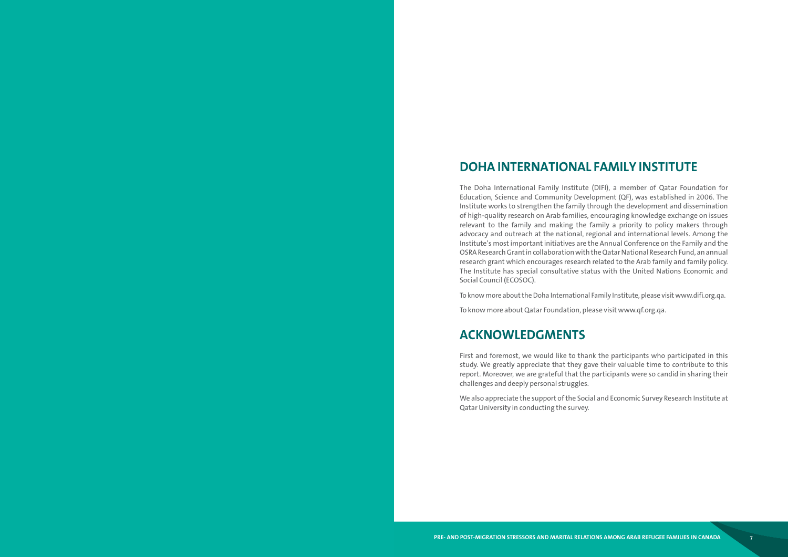# <span id="page-4-0"></span>**DOHA INTERNATIONAL FAMILY INSTITUTE**

The Doha International Family Institute (DIFI), a member of Qatar Foundation for Education, Science and Community Development (QF), was established in 2006. The Institute works to strengthen the family through the development and dissemination of high-quality research on Arab families, encouraging knowledge exchange on issues relevant to the family and making the family a priority to policy makers through advocacy and outreach at the national, regional and international levels. Among the Institute's most important initiatives are the Annual Conference on the Family and the OSRA Research Grant in collaboration with the Qatar National Research Fund, an annual research grant which encourages research related to the Arab family and family policy. The Institute has special consultative status with the United Nations Economic and Social Council (ECOSOC).

To know more about the Doha International Family Institute, please visit www.difi.org.qa.

To know more about Qatar Foundation, please visit www.qf.org.qa.

# **ACKNOWLEDGMENTS**

First and foremost, we would like to thank the participants who participated in this study. We greatly appreciate that they gave their valuable time to contribute to this report. Moreover, we are grateful that the participants were so candid in sharing their challenges and deeply personal struggles.

We also appreciate the support of the Social and Economic Survey Research Institute at Qatar University in conducting the survey.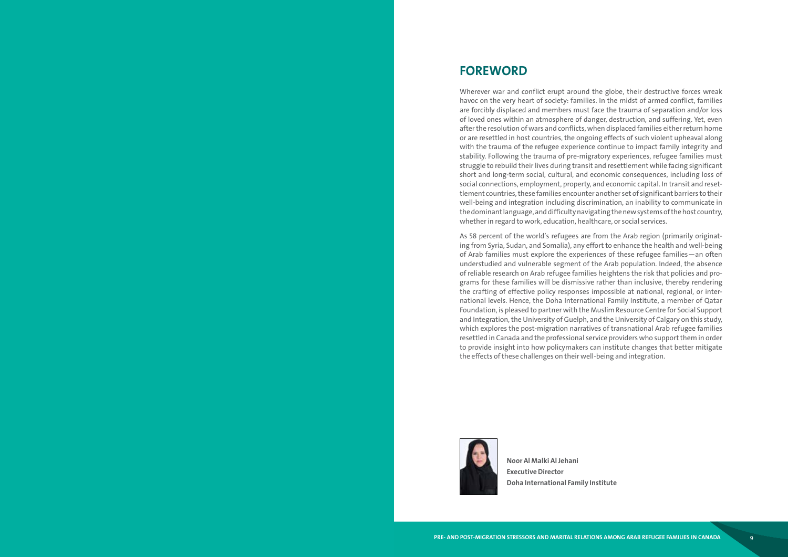# <span id="page-5-0"></span>**FOREWORD**

Wherever war and conflict erupt around the globe, their destructive forces wreak havoc on the very heart of society: families. In the midst of armed conflict, families are forcibly displaced and members must face the trauma of separation and/or loss of loved ones within an atmosphere of danger, destruction, and suffering. Yet, even after the resolution of wars and conflicts, when displaced families either return home or are resettled in host countries, the ongoing effects of such violent upheaval along with the trauma of the refugee experience continue to impact family integrity and stability. Following the trauma of pre-migratory experiences, refugee families must struggle to rebuild their lives during transit and resettlement while facing significant short and long-term social, cultural, and economic consequences, including loss of social connections, employment, property, and economic capital. In transit and reset tlement countries, these families encounter another set of significant barriers to their well-being and integration including discrimination, an inability to communicate in the dominant language, and difficulty navigating the new systems of the host country, whether in regard to work, education, healthcare, or social services.

As 58 percent of the world's refugees are from the Arab region (primarily originat ing from Syria, Sudan, and Somalia), any effort to enhance the health and well-being of Arab families must explore the experiences of these refugee families—an often understudied and vulnerable segment of the Arab population. Indeed, the absence of reliable research on Arab refugee families heightens the risk that policies and pro grams for these families will be dismissive rather than inclusive, thereby rendering the crafting of effective policy responses impossible at national, regional, or inter national levels. Hence, the Doha International Family Institute, a member of Qatar Foundation, is pleased to partner with the Muslim Resource Centre for Social Support and Integration, the University of Guelph, and the University of Calgary on this study, which explores the post-migration narratives of transnational Arab refugee families resettled in Canada and the professional service providers who support them in order to provide insight into how policymakers can institute changes that better mitigate the effects of these challenges on their well-being and integration.



**Noor Al Malki Al Jehani Executive Director Doha International Family Institute**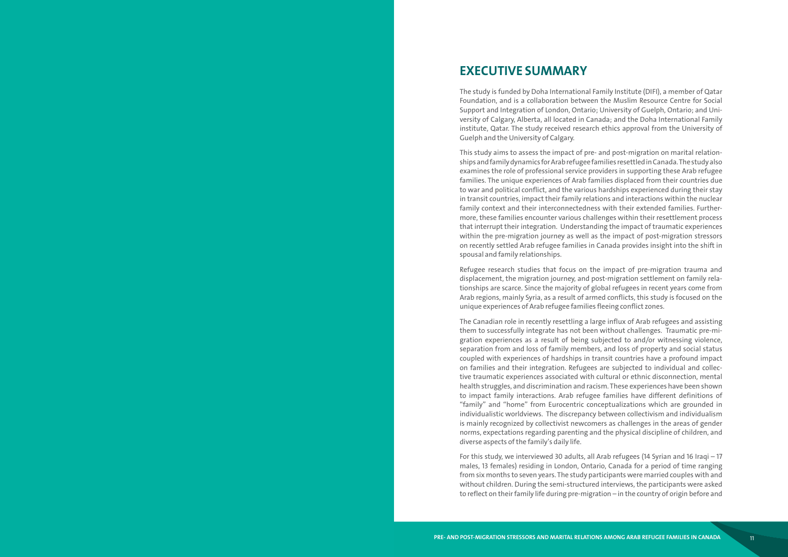# <span id="page-6-0"></span>**EXECUTIVE SUMMARY**

The study is funded by Doha International Family Institute (DIFI), a member of Qatar Foundation, and is a collaboration between the Muslim Resource Centre for Social Support and Integration of London, Ontario; University of Guelph, Ontario; and Uni versity of Calgary, Alberta, all located in Canada; and the Doha International Family institute, Qatar. The study received research ethics approval from the University of Guelph and the University of Calgary.

This study aims to assess the impact of pre- and post-migration on marital relation ships and family dynamics for Arab refugee families resettled in Canada. The study also examines the role of professional service providers in supporting these Arab refugee families. The unique experiences of Arab families displaced from their countries due to war and political conflict, and the various hardships experienced during their stay in transit countries, impact their family relations and interactions within the nuclear family context and their interconnectedness with their extended families. Further more, these families encounter various challenges within their resettlement process that interrupt their integration. Understanding the impact of traumatic experiences within the pre-migration journey as well as the impact of post-migration stressors on recently settled Arab refugee families in Canada provides insight into the shift in spousal and family relationships.

Refugee research studies that focus on the impact of pre-migration trauma and displacement, the migration journey, and post-migration settlement on family rela tionships are scarce. Since the majority of global refugees in recent years come from Arab regions, mainly Syria, as a result of armed conflicts, this study is focused on the unique experiences of Arab refugee families fleeing conflict zones.

The Canadian role in recently resettling a large influx of Arab refugees and assisting them to successfully integrate has not been without challenges. Traumatic pre-mi gration experiences as a result of being subjected to and/or witnessing violence, separation from and loss of family members, and loss of property and social status coupled with experiences of hardships in transit countries have a profound impact on families and their integration. Refugees are subjected to individual and collec tive traumatic experiences associated with cultural or ethnic disconnection, mental health struggles, and discrimination and racism. These experiences have been shown to impact family interactions. Arab refugee families have different definitions of "family" and "home" from Eurocentric conceptualizations which are grounded in individualistic worldviews. The discrepancy between collectivism and individualism is mainly recognized by collectivist newcomers as challenges in the areas of gender norms, expectations regarding parenting and the physical discipline of children, and diverse aspects of the family's daily life.

For this study, we interviewed 30 adults, all Arab refugees (14 Syrian and 16 Iraqi – 17 males, 13 females) residing in London, Ontario, Canada for a period of time ranging from six months to seven years. The study participants were married couples with and without children. During the semi-structured interviews, the participants were asked to reflect on their family life during pre-migration – in the country of origin before and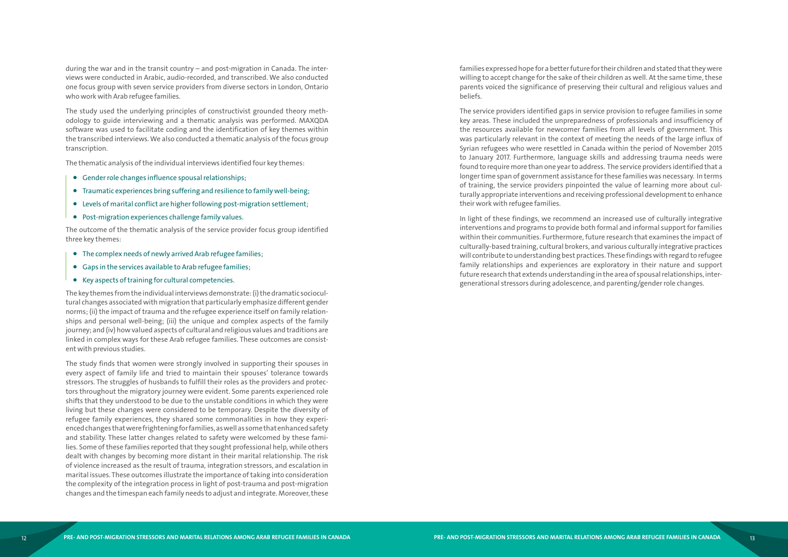during the war and in the transit country – and post-migration in Canada. The inter views were conducted in Arabic, audio-recorded, and transcribed. We also conducted one focus group with seven service providers from diverse sectors in London, Ontario who work with Arab refugee families.

The study used the underlying principles of constructivist grounded theory meth odology to guide interviewing and a thematic analysis was performed. MAXQDA software was used to facilitate coding and the identification of key themes within the transcribed interviews. We also conducted a thematic analysis of the focus group transcription.

The thematic analysis of the individual interviews identified four key themes:

- Gender role changes influence spousal relationships;
- Traumatic experiences bring suffering and resilience to family well-being;
- Levels of marital conflict are higher following post-migration settlement;
- Post-migration experiences challenge family values.

The outcome of the thematic analysis of the service provider focus group identified three key themes:

- The complex needs of newly arrived Arab refugee families;
- Gaps in the services available to Arab refugee families;
- Key aspects of training for cultural competencies.

The key themes from the individual interviews demonstrate: (i) the dramatic sociocul tural changes associated with migration that particularly emphasize different gender norms; (ii) the impact of trauma and the refugee experience itself on family relation ships and personal well-being; (iii) the unique and complex aspects of the family journey; and (iv) how valued aspects of cultural and religious values and traditions are linked in complex ways for these Arab refugee families. These outcomes are consist ent with previous studies.

The study finds that women were strongly involved in supporting their spouses in every aspect of family life and tried to maintain their spouses' tolerance towards stressors. The struggles of husbands to fulfill their roles as the providers and protec tors throughout the migratory journey were evident. Some parents experienced role shifts that they understood to be due to the unstable conditions in which they were living but these changes were considered to be temporary. Despite the diversity of refugee family experiences, they shared some commonalities in how they experi enced changes that were frightening for families, as well as some that enhanced safety and stability. These latter changes related to safety were welcomed by these fami lies. Some of these families reported that they sought professional help, while others dealt with changes by becoming more distant in their marital relationship. The risk of violence increased as the result of trauma, integration stressors, and escalation in marital issues. These outcomes illustrate the importance of taking into consideration the complexity of the integration process in light of post-trauma and post-migration changes and the timespan each family needs to adjust and integrate. Moreover, these

families expressed hope for a better future for their children and stated that they were willing to accept change for the sake of their children as well. At the same time, these parents voiced the significance of preserving their cultural and religious values and beliefs.

The service providers identified gaps in service provision to refugee families in some key areas. These included the unpreparedness of professionals and insufficiency of the resources available for newcomer families from all levels of government. This was particularly relevant in the context of meeting the needs of the large influx of Syrian refugees who were resettled in Canada within the period of November 2015 to January 2017. Furthermore, language skills and addressing trauma needs were found to require more than one year to address. The service providers identified that a longer time span of government assistance for these families was necessary. In terms of training, the service providers pinpointed the value of learning more about cul turally appropriate interventions and receiving professional development to enhance their work with refugee families.

In light of these findings, we recommend an increased use of culturally integrative interventions and programs to provide both formal and informal support for families within their communities. Furthermore, future research that examines the impact of culturally-based training, cultural brokers, and various culturally integrative practices will contribute to understanding best practices. These findings with regard to refugee family relationships and experiences are exploratory in their nature and support future research that extends understanding in the area of spousal relationships, inter generational stressors during adolescence, and parenting/gender role changes.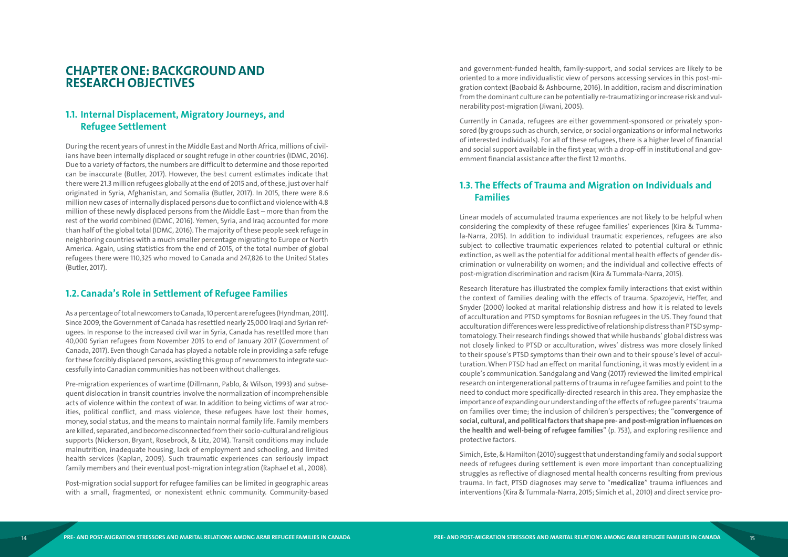# <span id="page-8-0"></span>**CHAPTER ONE: BACKGROUND AND RESEARCH OBJECTIVES**

#### **1.1. Internal Displacement, Migratory Journeys, and Refugee Settlement**

During the recent years of unrest in the Middle East and North Africa, millions of civil ians have been internally displaced or sought refuge in other countries (IDMC, 2016). Due to a variety of factors, the numbers are difficult to determine and those reported can be inaccurate (Butler, 2017). However, the best current estimates indicate that there were 21.3 million refugees globally at the end of 2015 and, of these, just over half originated in Syria, Afghanistan, and Somalia (Butler, 2017). In 2015, there were 8.6 million new cases of internally displaced persons due to conflict and violence with 4.8 million of these newly displaced persons from the Middle East – more than from the rest of the world combined (IDMC, 2016). Yemen, Syria, and Iraq accounted for more than half of the global total (IDMC, 2016). The majority of these people seek refuge in neighboring countries with a much smaller percentage migrating to Europe or North America. Again, using statistics from the end of 2015, of the total number of global refugees there were 110,325 who moved to Canada and 247,826 to the United States (Butler, 2017).

#### **1.2.Canada's Role in Settlement of Refugee Families**

As a percentage of total newcomers to Canada, 10 percent are refugees (Hyndman, 2011). Since 2009, the Government of Canada has resettled nearly 25,000 Iraqi and Syrian refugees. In response to the increased civil war in Syria, Canada has resettled more than 40,000 Syrian refugees from November 2015 to end of January 2017 (Government of Canada, 2017). Even though Canada has played a notable role in providing a safe refuge for these forcibly displaced persons, assisting this group of newcomers to integrate suc cessfully into Canadian communities has not been without challenges.

Pre-migration experiences of wartime (Dillmann, Pablo, & Wilson, 1993) and subse quent dislocation in transit countries involve the normalization of incomprehensible acts of violence within the context of war. In addition to being victims of war atroc ities, political conflict, and mass violence, these refugees have lost their homes, money, social status, and the means to maintain normal family life. Family members are killed, separated, and become disconnected from their socio-cultural and religious supports (Nickerson, Bryant, Rosebrock, & Litz, 2014). Transit conditions may include malnutrition, inadequate housing, lack of employment and schooling, and limited health services (Kaplan, 2009). Such traumatic experiences can seriously impact family members and their eventual post-migration integration (Raphael et al., 2008).

Post-migration social support for refugee families can be limited in geographic areas with a small, fragmented, or nonexistent ethnic community. Community-based

and government-funded health, family-support, and social services are likely to be oriented to a more individualistic view of persons accessing services in this post-mi gration context (Baobaid & Ashbourne, 2016). In addition, racism and discrimination from the dominant culture can be potentially re-traumatizing or increase risk and vul nerability post-migration (Jiwani, 2005).

Currently in Canada, refugees are either government-sponsored or privately spon sored (by groups such as church, service, or social organizations or informal networks of interested individuals). For all of these refugees, there is a higher level of financial and social support available in the first year, with a drop-off in institutional and gov ernment financial assistance after the first 12 months.

### **1.3. The Effects of Trauma and Migration on Individuals and Families**

Linear models of accumulated trauma experiences are not likely to be helpful when considering the complexity of these refugee families' experiences (Kira & Tumma la-Narra, 2015). In addition to individual traumatic experiences, refugees are also subject to collective traumatic experiences related to potential cultural or ethnic extinction, as well as the potential for additional mental health effects of gender dis crimination or vulnerability on women; and the individual and collective effects of post-migration discrimination and racism (Kira & Tummala-Narra, 2015).

Research literature has illustrated the complex family interactions that exist within the context of families dealing with the effects of trauma. Spazojevi ć, Heffer, and Snyder (2000) looked at marital relationship distress and how it is related to levels of acculturation and PTSD symptoms for Bosnian refugees in the US. They found that acculturation differences were less predictive of relationship distress than PTSD symp tomatology. Their research findings showed that while husbands' global distress was not closely linked to PTSD or acculturation, wives' distress was more closely linked to their spouse's PTSD symptoms than their own and to their spouse's level of accul turation. When PTSD had an effect on marital functioning, it was mostly evident in a couple's communication. Sandgalang and Vang (2017) reviewed the limited empirical research on intergenerational patterns of trauma in refugee families and point to the need to conduct more specifically-directed research in this area. They emphasize the importance of expanding our understanding of the effects of refugee parents' trauma on families over time; the inclusion of children's perspectives; the "**convergence of social, cultural, and political factors that shape pre- and post-migration influences on the health and well-being of refugee families**" (p. 753), and exploring resilience and protective factors.

Simich, Este, & Hamilton (2010) suggest that understanding family and social support needs of refugees during settlement is even more important than conceptualizing struggles as reflective of diagnosed mental health concerns resulting from previous trauma. In fact, PTSD diagnoses may serve to "**medicalize**" trauma influences and interventions (Kira & Tummala-Narra, 2015; Simich et al., 2010) and direct service pro -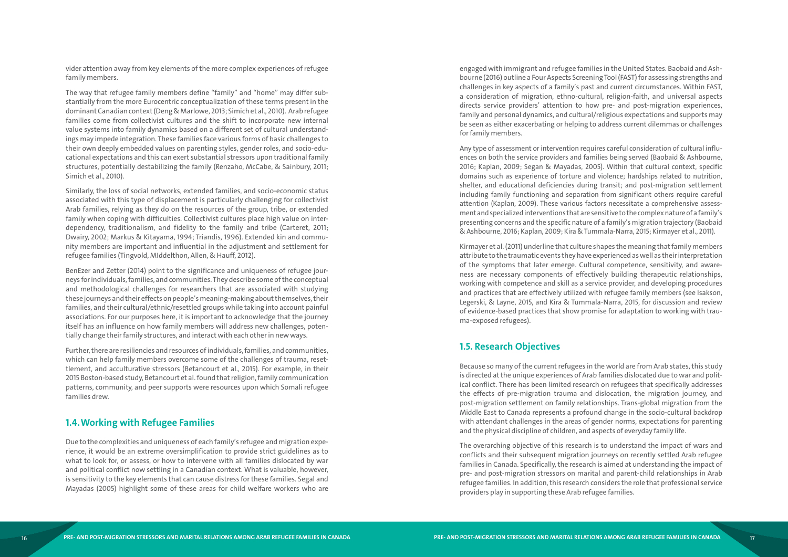<span id="page-9-0"></span>vider attention away from key elements of the more complex experiences of refugee family members.

The way that refugee family members define "family" and "home" may differ sub stantially from the more Eurocentric conceptualization of these terms present in the dominant Canadian context (Deng & Marlowe, 2013; Simich et al., 2010). Arab refugee families come from collectivist cultures and the shift to incorporate new internal value systems into family dynamics based on a different set of cultural understand ings may impede integration. These families face various forms of basic challenges to their own deeply embedded values on parenting styles, gender roles, and socio-edu cational expectations and this can exert substantial stressors upon traditional family structures, potentially destabilizing the family (Renzaho, McCabe, & Sainbury, 2011; Simich et al., 2010).

Similarly, the loss of social networks, extended families, and socio-economic status associated with this type of displacement is particularly challenging for collectivist Arab families, relying as they do on the resources of the group, tribe, or extended family when coping with difficulties. Collectivist cultures place high value on inter dependency, traditionalism, and fidelity to the family and tribe (Carteret, 2011; Dwairy, 2002; Markus & Kitayama, 1994; Triandis, 1996). Extended kin and commu nity members are important and influential in the adjustment and settlement for refugee families (Tingvold, MIddelthon, Allen, & Hauff, 2012).

BenEzer and Zetter (2014) point to the significance and uniqueness of refugee jour neys for individuals, families, and communities. They describe some of the conceptual and methodological challenges for researchers that are associated with studying these journeys and their effects on people's meaning-making about themselves, their families, and their cultural/ethnic/resettled groups while taking into account painful associations. For our purposes here, it is important to acknowledge that the journey itself has an influence on how family members will address new challenges, poten tially change their family structures, and interact with each other in new ways.

Further, there are resiliencies and resources of individuals, families, and communities, which can help family members overcome some of the challenges of trauma, reset tlement, and acculturative stressors (Betancourt et al., 2015). For example, in their 2015 Boston-based study, Betancourt et al. found that religion, family communication patterns, community, and peer supports were resources upon which Somali refugee families drew.

#### **1.4.Working with Refugee Families**

Due to the complexities and uniqueness of each family's refugee and migration expe rience, it would be an extreme oversimplification to provide strict guidelines as to what to look for, or assess, or how to intervene with all families dislocated by war and political conflict now settling in a Canadian context. What is valuable, however, is sensitivity to the key elements that can cause distress for these families. Segal and Mayadas (2005) highlight some of these areas for child welfare workers who are

engaged with immigrant and refugee families in the United States. Baobaid and Ash bourne (2016) outline a Four Aspects Screening Tool (FAST) for assessing strengths and challenges in key aspects of a family's past and current circumstances. Within FAST, a consideration of migration, ethno-cultural, religion-faith, and universal aspects directs service providers' attention to how pre- and post-migration experiences, family and personal dynamics, and cultural/religious expectations and supports may be seen as either exacerbating or helping to address current dilemmas or challenges for family members.

Any type of assessment or intervention requires careful consideration of cultural influ ences on both the service providers and families being served (Baobaid & Ashbourne, 2016; Kaplan, 2009; Segan & Mayadas, 2005). Within that cultural context, specific domains such as experience of torture and violence; hardships related to nutrition, shelter, and educational deficiencies during transit; and post-migration settlement including family functioning and separation from significant others require careful attention (Kaplan, 2009). These various factors necessitate a comprehensive assess ment and specialized interventions that are sensitive to the complex nature of a family's presenting concerns and the specific nature of a family's migration trajectory (Baobaid & Ashbourne, 2016; Kaplan, 2009; Kira & Tummala-Narra, 2015; Kirmayer et al., 2011).

Kirmayer et al. (2011) underline that culture shapes the meaning that family members attribute to the traumatic events they have experienced as well as their interpretation of the symptoms that later emerge. Cultural competence, sensitivity, and aware ness are necessary components of effectively building therapeutic relationships, working with competence and skill as a service provider, and developing procedures and practices that are effectively utilized with refugee family members (see Isakson, Legerski, & Layne, 2015, and Kira & Tummala-Narra, 2015, for discussion and review of evidence-based practices that show promise for adaptation to working with trau ma-exposed refugees).

#### **1.5. Research Objectives**

Because so many of the current refugees in the world are from Arab states, this study is directed at the unique experiences of Arab families dislocated due to war and polit ical conflict. There has been limited research on refugees that specifically addresses the effects of pre-migration trauma and dislocation, the migration journey, and post-migration settlement on family relationships. Trans-global migration from the Middle East to Canada represents a profound change in the socio-cultural backdrop with attendant challenges in the areas of gender norms, expectations for parenting and the physical discipline of children, and aspects of everyday family life.

The overarching objective of this research is to understand the impact of wars and conflicts and their subsequent migration journeys on recently settled Arab refugee families in Canada. Specifically, the research is aimed at understanding the impact of pre- and post-migration stressors on marital and parent-child relationships in Arab refugee families. In addition, this research considers the role that professional service providers play in supporting these Arab refugee families.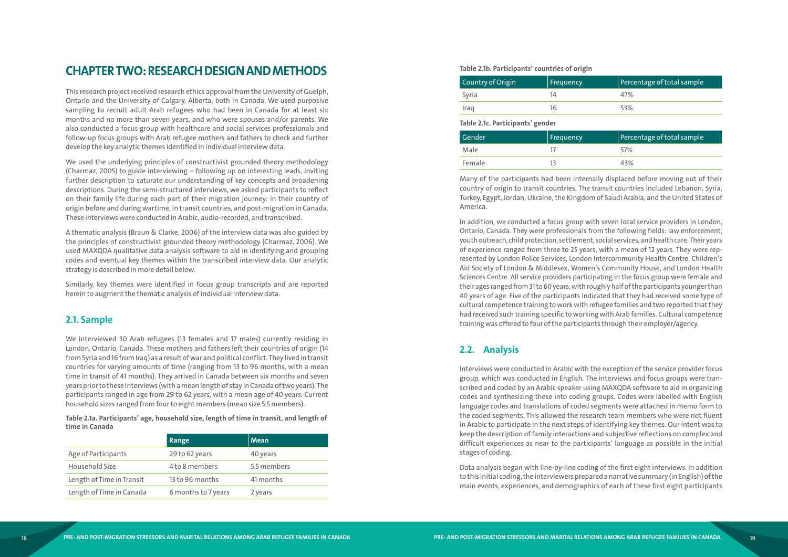# <span id="page-10-0"></span>**CHAPTER TWO: RESEARCH DESIGN AND METHODS**

This research project received research ethics approval from the University of Guelph, Ontario and the University of Calgary, Alberta, both in Canada. We used purposive sampling to recruit adult Arab refugees who had been in Canada for at least six months and no more than seven years, and who were spouses and/or parents. We also conducted a focus group with healthcare and social services professionals and follow-up focus groups with Arab refugee mothers and fathers to check and further develop the key analytic themes identified in individual interview data.

We used the underlying principles of constructivist grounded theory methodology (Charmaz, 2005) to guide interviewing – following up on interesting leads, inviting further description to saturate our understanding of key concepts and broadening descriptions. During the semi-structured interviews, we asked participants to reflect on their family life during each part of their migration journey: in their country of origin before and during wartime, in transit countries, and post-migration in Canada. These interviews were conducted in Arabic, audio-recorded, and transcribed.

A thematic analysis (Braun & Clarke, 2006) of the interview data was also guided by the principles of constructivist grounded theory methodology (Charmaz, 2006). We used MAXQDA qualitative data analysis software to aid in identifying and grouping codes and eventual key themes within the transcribed interview data. Our analytic strategy is described in more detail below.

Similarly, key themes were identified in focus group transcripts and are reported herein to augment the thematic analysis of individual interview data.

#### **2.1. Sample**

We interviewed 30 Arab refugees (13 females and 17 males) currently residing in London, Ontario, Canada. These mothers and fathers left their countries of origin (14 from Syria and 16 from Iraq) as a result of war and political conflict. They lived in transit countries for varying amounts of time (ranging from 13 to 96 months, with a mean time in transit of 41 months). They arrived in Canada between six months and seven years prior to these interviews (with a mean length of stay in Canada of two years). The participants ranged in age from 29 to 62 years, with a mean age of 40 years. Current household sizes ranged from four to eight members (mean size 5.5 members).

**Table 2.1a. Participants' age, household size, length of time in transit, and length of time in Canada**

|                           | Range               | Mean        |
|---------------------------|---------------------|-------------|
| Age of Participants       | 29 to 62 years      | 40 years    |
| Household Size            | 4 to 8 members      | 5.5 members |
| Length of Time in Transit | 13 to 96 months     | 41 months   |
| Length of Time in Canada  | 6 months to 7 years | 2 years     |

**Table 2.1b. Participants' countries of origin**

| Country of Origin                | Frequency | Percentage of total sample |  |  |  |
|----------------------------------|-----------|----------------------------|--|--|--|
| Syria                            | 14        | 47%                        |  |  |  |
| Iraq                             | 16        | 53%                        |  |  |  |
| Table 2.1c. Participants' gender |           |                            |  |  |  |
| Gender                           | Frequency | Percentage of total sample |  |  |  |

| <b>Gender</b> | Frequency | Percentage of total sample |
|---------------|-----------|----------------------------|
| Male          |           | 57%                        |
| Female        |           | 43%                        |

Many of the participants had been internally displaced before moving out of their country of origin to transit countries. The transit countries included Lebanon, Syria, Turkey, Egypt, Jordan, Ukraine, the Kingdom of Saudi Arabia, and the United States of America.

In addition, we conducted a focus group with seven local service providers in London, Ontario, Canada. They were professionals from the following fields: law enforcement, youth outreach, child protection, settlement, social services, and health care. Their years of experience ranged from three to 25 years, with a mean of 12 years. They were rep resented by London Police Services, London Intercommunity Health Centre, Children's Aid Society of London & Middlesex, Women's Community House, and London Health Sciences Centre. All service providers participating in the focus group were female and their ages ranged from 31 to 60 years, with roughly half of the participants younger than 40 years of age. Five of the participants indicated that they had received some type of cultural competence training to work with refugee families and two reported that they had received such training specific to working with Arab families. Cultural competence training was offered to four of the participants through their employer/agency.

### **2.2. Analysis**

Interviews were conducted in Arabic with the exception of the service provider focus group, which was conducted in English. The interviews and focus groups were tran scribed and coded by an Arabic speaker using MAXQDA software to aid in organizing codes and synthesizing these into coding groups. Codes were labelled with English language codes and translations of coded segments were attached in memo form to the coded segments. This allowed the research team members who were not fluent in Arabic to participate in the next steps of identifying key themes. Our intent was to keep the description of family interactions and subjective reflections on complex and difficult experiences as near to the participants' language as possible in the initial stages of coding.

Data analysis began with line-by-line coding of the first eight interviews. In addition to this initial coding, the interviewers prepared a narrative summary (in English) of the main events, experiences, and demographics of each of these first eight participants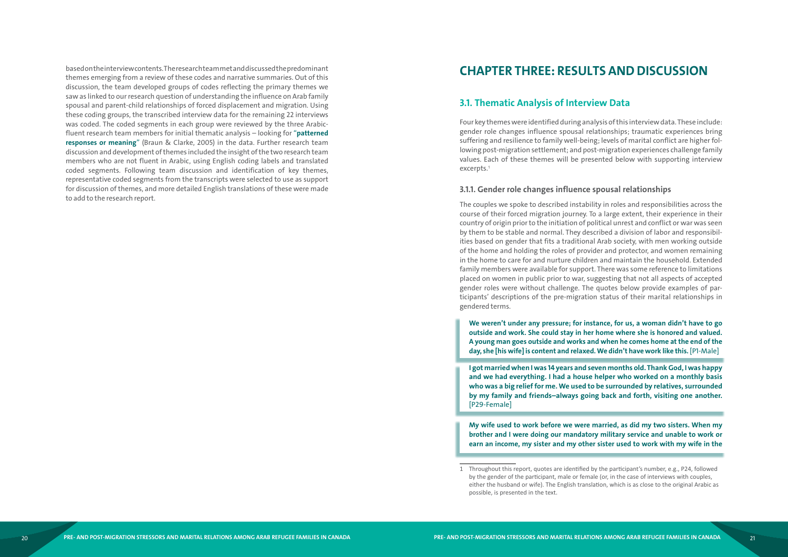<span id="page-11-0"></span>based on the interview contents. The research team met and discussed the predominant themes emerging from a review of these codes and narrative summaries. Out of this discussion, the team developed groups of codes reflecting the primary themes we saw as linked to our research question of understanding the influence on Arab family spousal and parent-child relationships of forced displacement and migration. Using these coding groups, the transcribed interview data for the remaining 22 interviews was coded. The coded segments in each group were reviewed by the three Arabicfluent research team members for initial thematic analysis – looking for "**patterned responses or meaning**" (Braun & Clarke, 2005) in the data. Further research team discussion and development of themes included the insight of the two research team members who are not fluent in Arabic, using English coding labels and translated coded segments. Following team discussion and identification of key themes, representative coded segments from the transcripts were selected to use as support for discussion of themes, and more detailed English translations of these were made to add to the research report.

# **CHAPTER THREE: RESULTS AND DISCUSSION**

#### **3.1. Thematic Analysis of Interview Data**

Four key themes were identified during analysis of this interview data. These include: gender role changes influence spousal relationships; traumatic experiences bring suffering and resilience to family well-being; levels of marital conflict are higher following post-migration settlement; and post-migration experiences challenge family values. Each of these themes will be presented below with supporting interview excerpts.<sup>1</sup>

#### **3.1.1. Gender role changes influence spousal relationships**

The couples we spoke to described instability in roles and responsibilities across the course of their forced migration journey. To a large extent, their experience in their country of origin prior to the initiation of political unrest and conflict or war was seen by them to be stable and normal. They described a division of labor and responsibilities based on gender that fits a traditional Arab society, with men working outside of the home and holding the roles of provider and protector, and women remaining in the home to care for and nurture children and maintain the household. Extended family members were available for support. There was some reference to limitations placed on women in public prior to war, suggesting that not all aspects of accepted gender roles were without challenge. The quotes below provide examples of participants' descriptions of the pre-migration status of their marital relationships in gendered terms.

- **We weren't under any pressure; for instance, for us, a woman didn't have to go outside and work. She could stay in her home where she is honored and valued. A young man goes outside and works and when he comes home at the end of the day, she [his wife] is content and relaxed. We didn't have work like this.** [P1-Male]
- **and we had everything. I had a house helper who worked on a monthly basis who was a big relief for me. We used to be surrounded by relatives, surrounded by my family and friends–always going back and forth, visiting one another.**  [P29-Female]

**I got married when I was 14 years and seven months old. Thank God, I was happy** 

**My wife used to work before we were married, as did my two sisters. When my brother and I were doing our mandatory military service and unable to work or earn an income, my sister and my other sister used to work with my wife in the** 

1 Throughout this report, quotes are identified by the participant's number, e.g., P24, followed by the gender of the participant, male or female (or, in the case of interviews with couples, either the husband or wife). The English translation, which is as close to the original Arabic as possible, is presented in the text.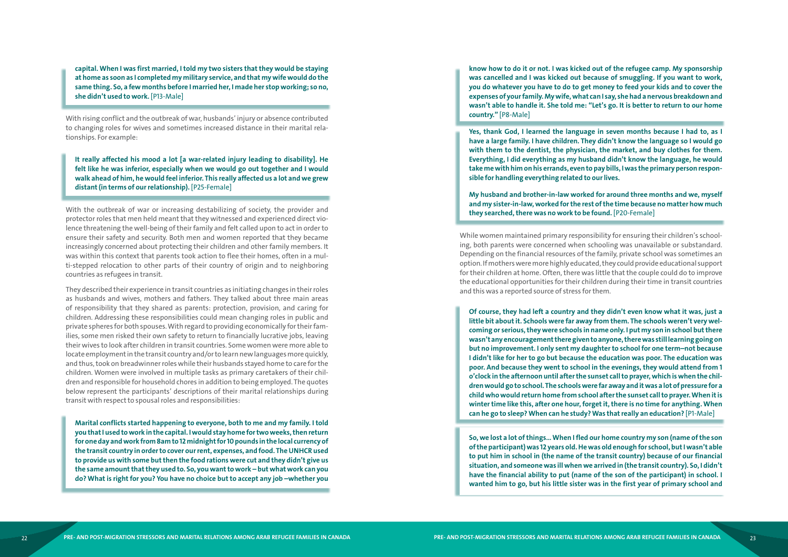**capital. When I was first married, I told my two sisters that they would be staying at home as soon as I completed my military service, and that my wife would do the same thing. So, a few months before I married her, I made her stop working; so no, she didn't used to work.** [P13-Male]

With rising conflict and the outbreak of war, husbands' injury or absence contributed to changing roles for wives and sometimes increased distance in their marital rela tionships. For example:

**It really affected his mood a lot [a war-related injury leading to disability]. He felt like he was inferior, especially when we would go out together and I would walk ahead of him, he would feel inferior. This really affected us a lot and we grew distant (in terms of our relationship).** [P25-Female]

With the outbreak of war or increasing destabilizing of society, the provider and protector roles that men held meant that they witnessed and experienced direct vio lence threatening the well-being of their family and felt called upon to act in order to ensure their safety and security. Both men and women reported that they became increasingly concerned about protecting their children and other family members. It was within this context that parents took action to flee their homes, often in a mul ti-stepped relocation to other parts of their country of origin and to neighboring countries as refugees in transit.

They described their experience in transit countries as initiating changes in their roles as husbands and wives, mothers and fathers. They talked about three main areas of responsibility that they shared as parents: protection, provision, and caring for children. Addressing these responsibilities could mean changing roles in public and private spheres for both spouses. With regard to providing economically for their fam ilies, some men risked their own safety to return to financially lucrative jobs, leaving their wives to look after children in transit countries. Some women were more able to locate employment in the transit country and/or to learn new languages more quickly, and thus, took on breadwinner roles while their husbands stayed home to care for the children. Women were involved in multiple tasks as primary caretakers of their chil dren and responsible for household chores in addition to being employed. The quotes below represent the participants' descriptions of their marital relationships during transit with respect to spousal roles and responsibilities:

**Marital conflicts started happening to everyone, both to me and my family. I told you that I used to work in the capital. I would stay home for two weeks, then return for one day and work from 8am to 12 midnight for 10 pounds in the local currency of the transit country in order to cover our rent, expenses, and food. The UNHCR used to provide us with some but then the food rations were cut and they didn't give us the same amount that they used to. So, you want to work – but what work can you do? What is right for you? You have no choice but to accept any job –whether you** 

**know how to do it or not. I was kicked out of the refugee camp. My sponsorship was cancelled and I was kicked out because of smuggling. If you want to work, you do whatever you have to do to get money to feed your kids and to cover the expenses of your family. My wife, what can I say, she had a nervous breakdown and wasn't able to handle it. She told me: "Let's go. It is better to return to our home country."** [P8-Male]

**Yes, thank God, I learned the language in seven months because I had to, as I have a large family. I have children. They didn't know the language so I would go with them to the dentist, the physician, the market, and buy clothes for them. Everything, I did everything as my husband didn't know the language, he would take me with him on his errands, even to pay bills, I was the primary person respon sible for handling everything related to our lives.** 

**My husband and brother-in-law worked for around three months and we, myself and my sister-in-law, worked for the rest of the time because no matter how much they searched, there was no work to be found.** [P20-Female]

While women maintained primary responsibility for ensuring their children's school ing, both parents were concerned when schooling was unavailable or substandard. Depending on the financial resources of the family, private school was sometimes an option. If mothers were more highly educated, they could provide educational support for their children at home. Often, there was little that the couple could do to improve the educational opportunities for their children during their time in transit countries and this was a reported source of stress for them.

**Of course, they had left a country and they didn't even know what it was, just a little bit about it. Schools were far away from them. The schools weren't very wel coming or serious, they were schools in name only. I put my son in school but there wasn't any encouragement there given to anyone, there was still learning going on but no improvement. I only sent my daughter to school for one term–not because I didn't like for her to go but because the education was poor. The education was poor. And because they went to school in the evenings, they would attend from 1 o'clock in the afternoon until after the sunset call to prayer, which is when the chil dren would go to school. The schools were far away and it was a lot of pressure for a child who would return home from school after the sunset call to prayer. When it is winter time like this, after one hour, forget it, there is no time for anything. When can he go to sleep? When can he study? Was that really an education?** [P1-Male]

**So, we lost a lot of things… When I fled our home country my son (name of the son of the participant) was 12 years old. He was old enough for school, but I wasn't able to put him in school in (the name of the transit country) because of our financial situation, and someone was ill when we arrived in (the transit country). So, I didn't have the financial ability to put (name of the son of the participant) in school. I wanted him to go, but his little sister was in the first year of primary school and**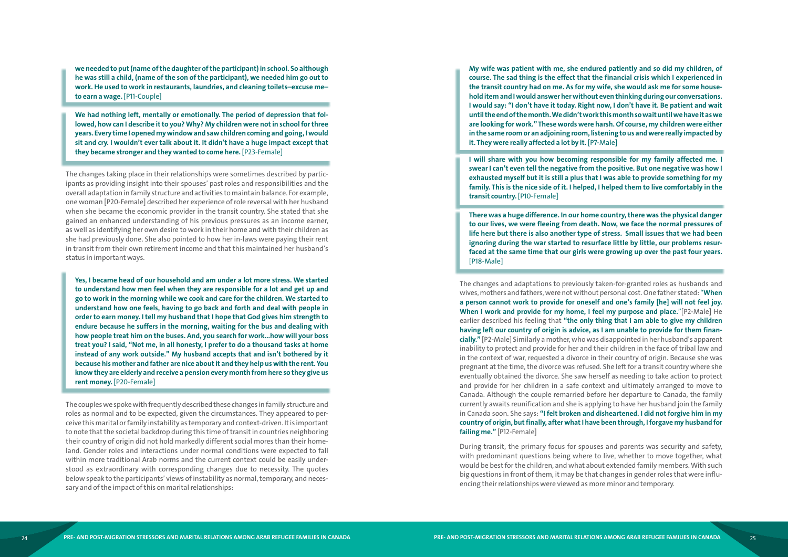**we needed to put (name of the daughter of the participant) in school. So although he was still a child, (name of the son of the participant), we needed him go out to work. He used to work in restaurants, laundries, and cleaning toilets–excuse me– to earn a wage.** [P11-Couple]

**We had nothing left, mentally or emotionally. The period of depression that fol lowed, how can I describe it to you? Why? My children were not in school for three years. Every time I opened my window and saw children coming and going, I would sit and cry. I wouldn't ever talk about it. It didn't have a huge impact except that they became stronger and they wanted to come here.** [P23-Female]

The changes taking place in their relationships were sometimes described by partic ipants as providing insight into their spouses' past roles and responsibilities and the overall adaptation in family structure and activities to maintain balance. For example, one woman [P20-Female] described her experience of role reversal with her husband when she became the economic provider in the transit country. She stated that she gained an enhanced understanding of his previous pressures as an income earner, as well as identifying her own desire to work in their home and with their children as she had previously done. She also pointed to how her in-laws were paying their rent in transit from their own retirement income and that this maintained her husband's status in important ways.

**Yes, I became head of our household and am under a lot more stress. We started to understand how men feel when they are responsible for a lot and get up and go to work in the morning while we cook and care for the children. We started to understand how one feels, having to go back and forth and deal with people in order to earn money. I tell my husband that I hope that God gives him strength to endure because he suffers in the morning, waiting for the bus and dealing with how people treat him on the buses. And, you search for work...how will your boss treat you? I said, "Not me, in all honesty, I prefer to do a thousand tasks at home instead of any work outside." My husband accepts that and isn't bothered by it because his mother and father are nice about it and they help us with the rent. You know they are elderly and receive a pension every month from here so they give us rent money.** [P20-Female]

The couples we spoke with frequently described these changes in family structure and roles as normal and to be expected, given the circumstances. They appeared to per ceive this marital or family instability as temporary and context-driven. It is important to note that the societal backdrop during this time of transit in countries neighboring their country of origin did not hold markedly different social mores than their home land. Gender roles and interactions under normal conditions were expected to fall within more traditional Arab norms and the current context could be easily under stood as extraordinary with corresponding changes due to necessity. The quotes below speak to the participants' views of instability as normal, temporary, and neces sary and of the impact of this on marital relationships:

**My wife was patient with me, she endured patiently and so did my children, of course. The sad thing is the effect that the financial crisis which I experienced in the transit country had on me. As for my wife, she would ask me for some house hold item and I would answer her without even thinking during our conversations. I would say: "I don't have it today. Right now, I don't have it. Be patient and wait until the end of the month. We didn't work this month so wait until we have it as we are looking for work." These words were harsh. Of course, my children were either in the same room or an adjoining room, listening to us and were really impacted by it. They were really affected a lot by it.** [P7-Male]

**I will share with you how becoming responsible for my family affected me. I swear I can't even tell the negative from the positive. But one negative was how I exhausted myself but it is still a plus that I was able to provide something for my family. This is the nice side of it. I helped, I helped them to live comfortably in the transit country.** [P10-Female]

**There was a huge difference. In our home country, there was the physical danger to our lives, we were fleeing from death. Now, we face the normal pressures of life here but there is also another type of stress. Small issues that we had been ignoring during the war started to resurface little by little, our problems resur faced at the same time that our girls were growing up over the past four years.**  [P18-Male]

The changes and adaptations to previously taken-for-granted roles as husbands and wives, mothers and fathers, were not without personal cost. One father stated: "**When a person cannot work to provide for oneself and one's family [he] will not feel joy. When I work and provide for my home, I feel my purpose and place.** "[P2-Male] He earlier described his feeling that **"the only thing that I am able to give my children having left our country of origin is advice, as I am unable to provide for them finan cially."** [P2-Male] Similarly a mother, who was disappointed in her husband's apparent inability to protect and provide for her and their children in the face of tribal law and in the context of war, requested a divorce in their country of origin. Because she was pregnant at the time, the divorce was refused. She left for a transit country where she eventually obtained the divorce. She saw herself as needing to take action to protect and provide for her children in a safe context and ultimately arranged to move to Canada. Although the couple remarried before her departure to Canada, the family currently awaits reunification and she is applying to have her husband join the family in Canada soon. She says: **"I felt broken and disheartened. I did not forgive him in my country of origin, but finally, after what I have been through, I forgave my husband for failing me."** [P12-Female]

During transit, the primary focus for spouses and parents was security and safety, with predominant questions being where to live, whether to move together, what would be best for the children, and what about extended family members. With such big questions in front of them, it may be that changes in gender roles that were influ encing their relationships were viewed as more minor and temporary.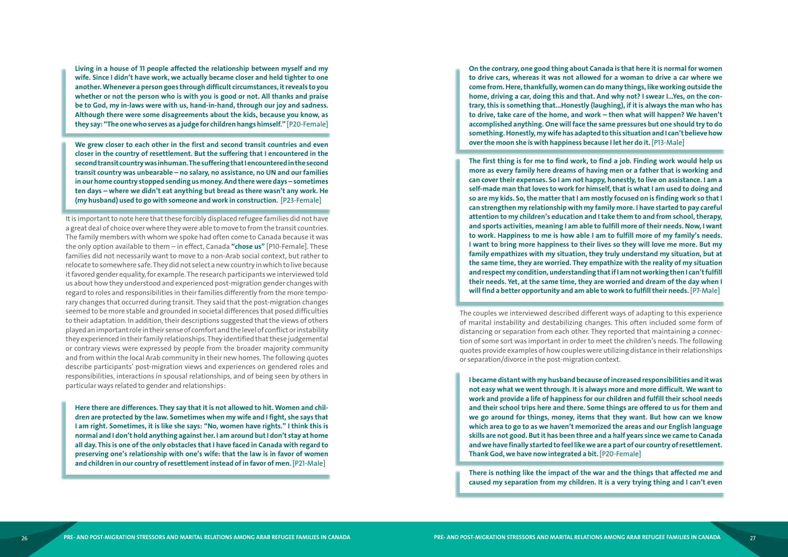**Living in a house of 11 people affected the relationship between myself and my wife. Since I didn't have work, we actually became closer and held tighter to one another. Whenever a person goes through difficult circumstances, it reveals to you whether or not the person who is with you is good or not. All thanks and praise be to God, my in-laws were with us, hand-in-hand, through our joy and sadness. Although there were some disagreements about the kids, because you know, as they say: "The one who serves as a judge for children hangs himself."** [P20-Female]

**We grew closer to each other in the first and second transit countries and even closer in the country of resettlement. But the suffering that I encountered in the second transit country was inhuman. The suffering that I encountered in the second transit country was unbearable – no salary, no assistance, no UN and our families in our home country stopped sending us money. And there were days – sometimes ten days – where we didn't eat anything but bread as there wasn't any work. He (my husband) used to go with someone and work in construction.** [P23-Female]

It is important to note here that these forcibly displaced refugee families did not have a great deal of choice over where they were able to move to from the transit countries. The family members with whom we spoke had often come to Canada because it was the only option available to them – in effect, Canada **"chose us"** [P10-Female]. These families did not necessarily want to move to a non-Arab social context, but rather to relocate to somewhere safe. They did not select a new country in which to live because it favored gender equality, for example. The research participants we interviewed told us about how they understood and experienced post-migration gender changes with regard to roles and responsibilities in their families differently from the more tempo rary changes that occurred during transit. They said that the post-migration changes seemed to be more stable and grounded in societal differences that posed difficulties to their adaptation. In addition, their descriptions suggested that the views of others played an important role in their sense of comfort and the level of conflict or instability they experienced in their family relationships. They identified that these judgemental or contrary views were expressed by people from the broader majority community and from within the local Arab community in their new homes. The following quotes describe participants' post-migration views and experiences on gendered roles and responsibilities, interactions in spousal relationships, and of being seen by others in particular ways related to gender and relationships:

**Here there are differences. They say that it is not allowed to hit. Women and chil dren are protected by the law. Sometimes when my wife and I fight, she says that I am right. Sometimes, it is like she says: "No, women have rights." I think this is normal and I don't hold anything against her. I am around but I don't stay at home all day. This is one of the only obstacles that I have faced in Canada with regard to preserving one's relationship with one's wife: that the law is in favor of women and children in our country of resettlement instead of in favor of men.** [P21-Male]

**On the contrary, one good thing about Canada is that here it is normal for women to drive cars, whereas it was not allowed for a woman to drive a car where we come from. Here, thankfully, women can do many things, like working outside the home, driving a car, doing this and that. And why not? I swear I...Yes, on the con trary, this is something that...Honestly (laughing), if it is always the man who has to drive, take care of the home, and work – then what will happen? We haven't accomplished anything. One will face the same pressures but one should try to do something. Honestly, my wife has adapted to this situation and I can't believe how over the moon she is with happiness because I let her do it.** [P13-Male]

**The first thing is for me to find work, to find a job. Finding work would help us more as every family here dreams of having men or a father that is working and can cover their expenses. So I am not happy, honestly, to live on assistance. I am a self-made man that loves to work for himself, that is what I am used to doing and so are my kids. So, the matter that I am mostly focused on is finding work so that I can strengthen my relationship with my family more. I have started to pay careful attention to my children's education and I take them to and from school, therapy, and sports activities, meaning I am able to fulfill more of their needs. Now, I want to work. Happiness to me is how able I am to fulfill more of my family's needs. I want to bring more happiness to their lives so they will love me more. But my family empathizes with my situation, they truly understand my situation, but at the same time, they are worried. They empathize with the reality of my situation and respect my condition, understanding that if I am not working then I can't fulfill their needs. Yet, at the same time, they are worried and dream of the day when I will find a better opportunity and am able to work to fulfill their needs.** [P7-Male]

The couples we interviewed described different ways of adapting to this experience of marital instability and destabilizing changes. This often included some form of distancing or separation from each other. They reported that maintaining a connec tion of some sort was important in order to meet the children's needs. The following quotes provide examples of how couples were utilizing distance in their relationships or separation/divorce in the post-migration context.

**I became distant with my husband because of increased responsibilities and it was not easy what we went through. It is always more and more difficult. We want to work and provide a life of happiness for our children and fulfill their school needs and their school trips here and there. Some things are offered to us for them and we go around for things, money, items that they want. But how can we know which area to go to as we haven't memorized the areas and our English language skills are not good. But it has been three and a half years since we came to Canada and we have finally started to feel like we are a part of our country of resettlement. Thank God, we have now integrated a bit.** [P20-Female]

**There is nothing like the impact of the war and the things that affected me and caused my separation from my children. It is a very trying thing and I can't even**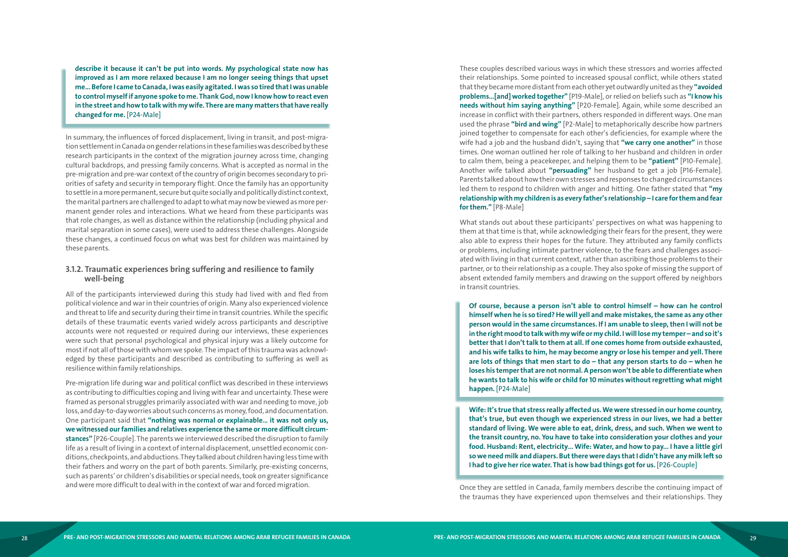**describe it because it can't be put into words. My psychological state now has improved as I am more relaxed because I am no longer seeing things that upset me... Before I came to Canada, I was easily agitated. I was so tired that I was unable to control myself if anyone spoke to me. Thank God, now I know how to react even in the street and how to talk with my wife. There are many matters that have really changed for me.** [P24-Male]

In summary, the influences of forced displacement, living in transit, and post-migra tion settlement in Canada on gender relations in these families was described by these research participants in the context of the migration journey across time, changing cultural backdrops, and pressing family concerns. What is accepted as normal in the pre-migration and pre-war context of the country of origin becomes secondary to pri orities of safety and security in temporary flight. Once the family has an opportunity to settle in a more permanent, secure but quite socially and politically distinct context, the marital partners are challenged to adapt to what may now be viewed as more per manent gender roles and interactions. What we heard from these participants was that role changes, as well as distance within the relationship (including physical and marital separation in some cases), were used to address these challenges. Alongside these changes, a continued focus on what was best for children was maintained by these parents.

#### **3.1.2. Traumatic experiences bring suffering and resilience to family well-being**

All of the participants interviewed during this study had lived with and fled from political violence and war in their countries of origin. Many also experienced violence and threat to life and security during their time in transit countries. While the specific details of these traumatic events varied widely across participants and descriptive accounts were not requested or required during our interviews, these experiences were such that personal psychological and physical injury was a likely outcome for most if not all of those with whom we spoke. The impact of this trauma was acknowl edged by these participants and described as contributing to suffering as well as resilience within family relationships.

Pre-migration life during war and political conflict was described in these interviews as contributing to difficulties coping and living with fear and uncertainty. These were framed as personal struggles primarily associated with war and needing to move, job loss, and day-to-day worries about such concerns as money, food, and documentation. One participant said that **"nothing was normal or explainable… it was not only us, we witnessed our families and relatives experience the same or more difficult circum stances"** [P26-Couple]. The parents we interviewed described the disruption to family life as a result of living in a context of internal displacement, unsettled economic con ditions, checkpoints, and abductions. They talked about children having less time with their fathers and worry on the part of both parents. Similarly, pre-existing concerns, such as parents' or children's disabilities or special needs, took on greater significance and were more difficult to deal with in the context of war and forced migration.

These couples described various ways in which these stressors and worries affected their relationships. Some pointed to increased spousal conflict, while others stated that they became more distant from each other yet outwardly united as they **"avoided problems…[and] worked together"** [P19-Male], or relied on beliefs such as **"I know his needs without him saying anything"** [P20-Female]. Again, while some described an increase in conflict with their partners, others responded in different ways. One man used the phrase **"bird and wing"** [P2-Male] to metaphorically describe how partners joined together to compensate for each other's deficiencies, for example where the wife had a job and the husband didn't, saying that **"we carry one another"** in those times. One woman outlined her role of talking to her husband and children in order to calm them, being a peacekeeper, and helping them to be **"patient"** [P10-Female]. Another wife talked about **"persuading"** her husband to get a job [P16-Female]. Parents talked about how their own stresses and responses to changed circumstances led them to respond to children with anger and hitting. One father stated that **"my relationship with my children is as every father's relationship – I care for them and fear for them."** [P8-Male]

What stands out about these participants' perspectives on what was happening to them at that time is that, while acknowledging their fears for the present, they were also able to express their hopes for the future. They attributed any family conflicts or problems, including intimate partner violence, to the fears and challenges associ ated with living in that current context, rather than ascribing those problems to their partner, or to their relationship as a couple. They also spoke of missing the support of absent extended family members and drawing on the support offered by neighbors in transit countries.

**Of course, because a person isn't able to control himself – how can he control himself when he is so tired? He will yell and make mistakes, the same as any other person would in the same circumstances. If I am unable to sleep, then I will not be in the right mood to talk with my wife or my child. I will lose my temper – and so it's better that I don't talk to them at all. If one comes home from outside exhausted, and his wife talks to him, he may become angry or lose his temper and yell. There are lots of things that men start to do – that any person starts to do – when he loses his temper that are not normal. A person won't be able to differentiate when he wants to talk to his wife or child for 10 minutes without regretting what might happen.** [P24-Male]

**Wife: It's true that stress really affected us. We were stressed in our home country, that's true, but even though we experienced stress in our lives, we had a better standard of living. We were able to eat, drink, dress, and such. When we went to the transit country, no. You have to take into consideration your clothes and your food. Husband: Rent, electricity… Wife: Water, and how to pay... I have a little girl so we need milk and diapers. But there were days that I didn't have any milk left so I had to give her rice water. That is how bad things got for us.** [P26-Couple]

Once they are settled in Canada, family members describe the continuing impact of the traumas they have experienced upon themselves and their relationships. They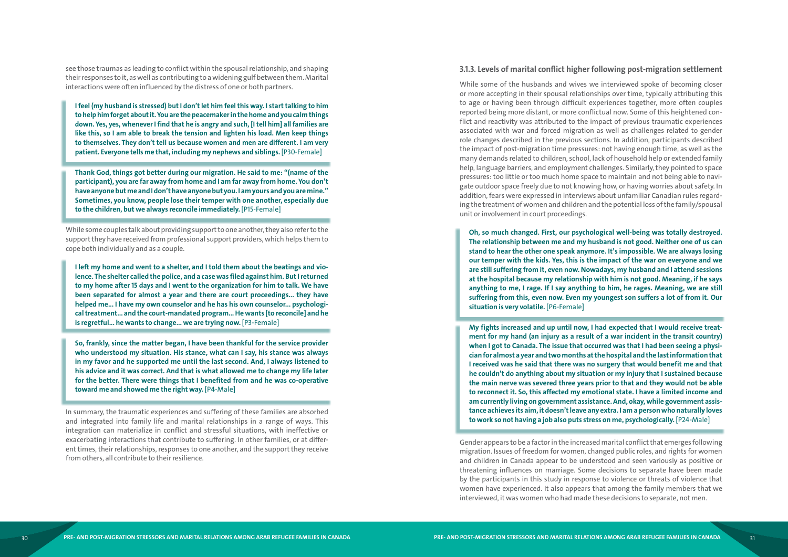see those traumas as leading to conflict within the spousal relationship, and shaping their responses to it, as well as contributing to a widening gulf between them. Marital interactions were often influenced by the distress of one or both partners.

**I feel (my husband is stressed) but I don't let him feel this way. I start talking to him to help him forget about it. You are the peacemaker in the home and you calm things down. Yes, yes, whenever I find that he is angry and such, [I tell him] all families are like this, so I am able to break the tension and lighten his load. Men keep things to themselves. They don't tell us because women and men are different. I am very patient. Everyone tells me that, including my nephews and siblings.** [P30-Female]

**Thank God, things got better during our migration. He said to me: "(name of the participant), you are far away from home and I am far away from home. You don't have anyone but me and I don't have anyone but you. I am yours and you are mine." Sometimes, you know, people lose their temper with one another, especially due to the children, but we always reconcile immediately.** [P15-Female]

While some couples talk about providing support to one another, they also refer to the support they have received from professional support providers, which helps them to cope both individually and as a couple.

**I left my home and went to a shelter, and I told them about the beatings and vio lence. The shelter called the police, and a case was filed against him. But I returned to my home after 15 days and I went to the organization for him to talk. We have been separated for almost a year and there are court proceedings... they have helped me... I have my own counselor and he has his own counselor... psychologi cal treatment... and the court-mandated program... He wants [to reconcile] and he is regretful... he wants to change... we are trying now.** [P3-Female]

**Oh, so much changed. First, our psychological well-being was totally destroyed. The relationship between me and my husband is not good. Neither one of us can stand to hear the other one speak anymore. It's impossible. We are always losing our temper with the kids. Yes, this is the impact of the war on everyone and we are still suffering from it, even now. Nowadays, my husband and I attend sessions at the hospital because my relationship with him is not good. Meaning, if he says anything to me, I rage. If I say anything to him, he rages. Meaning, we are still suffering from this, even now. Even my youngest son suffers a lot of from it. Our**  situation is very volatile. [P6-Female]

**So, frankly, since the matter began, I have been thankful for the service provider who understood my situation. His stance, what can I say, his stance was always in my favor and he supported me until the last second. And, I always listened to his advice and it was correct. And that is what allowed me to change my life later for the better. There were things that I benefited from and he was co-operative toward me and showed me the right way.** [P4-Male]

In summary, the traumatic experiences and suffering of these families are absorbed and integrated into family life and marital relationships in a range of ways. This integration can materialize in conflict and stressful situations, with ineffective or exacerbating interactions that contribute to suffering. In other families, or at differ ent times, their relationships, responses to one another, and the support they receive from others, all contribute to their resilience.

#### **3.1.3. Levels of marital conflict higher following post-migration settlement**

While some of the husbands and wives we interviewed spoke of becoming closer or more accepting in their spousal relationships over time, typically attributing this to age or having been through difficult experiences together, more often couples reported being more distant, or more conflictual now. Some of this heightened con flict and reactivity was attributed to the impact of previous traumatic experiences associated with war and forced migration as well as challenges related to gender role changes described in the previous sections. In addition, participants described the impact of post-migration time pressures: not having enough time, as well as the many demands related to children, school, lack of household help or extended family help, language barriers, and employment challenges. Similarly, they pointed to space pressures: too little or too much home space to maintain and not being able to navi gate outdoor space freely due to not knowing how, or having worries about safety. In addition, fears were expressed in interviews about unfamiliar Canadian rules regard ing the treatment of women and children and the potential loss of the family/spousal unit or involvement in court proceedings.

**My fights increased and up until now, I had expected that I would receive treat ment for my hand (an injury as a result of a war incident in the transit country) when I got to Canada. The issue that occurred was that I had been seeing a physi cian for almost a year and two months at the hospital and the last information that I received was he said that there was no surgery that would benefit me and that he couldn't do anything about my situation or my injury that I sustained because the main nerve was severed three years prior to that and they would not be able to reconnect it. So, this affected my emotional state. I have a limited income and am currently living on government assistance. And, okay, while government assis tance achieves its aim, it doesn't leave any extra. I am a person who naturally loves to work so not having a job also puts stress on me, psychologically.** [P24-Male]

Gender appears to be a factor in the increased marital conflict that emerges following migration. Issues of freedom for women, changed public roles, and rights for women and children in Canada appear to be understood and seen variously as positive or threatening influences on marriage. Some decisions to separate have been made by the participants in this study in response to violence or threats of violence that women have experienced. It also appears that among the family members that we interviewed, it was women who had made these decisions to separate, not men.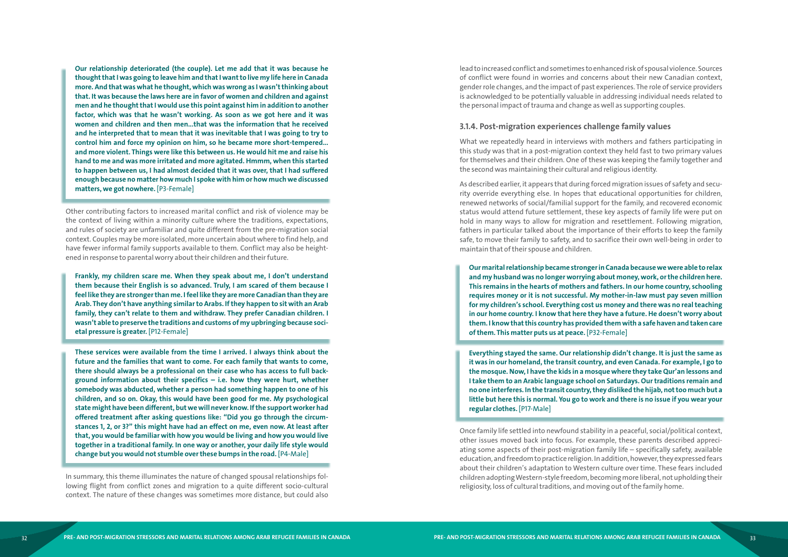**Our relationship deteriorated (the couple). Let me add that it was because he thought that I was going to leave him and that I want to live my life here in Canada more. And that was what he thought, which was wrong as I wasn't thinking about that. It was because the laws here are in favor of women and children and against men and he thought that I would use this point against him in addition to another factor, which was that he wasn't working. As soon as we got here and it was women and children and then men...that was the information that he received and he interpreted that to mean that it was inevitable that I was going to try to control him and force my opinion on him, so he became more short-tempered... and more violent. Things were like this between us. He would hit me and raise his hand to me and was more irritated and more agitated. Hmmm, when this started to happen between us, I had almost decided that it was over, that I had suffered enough because no matter how much I spoke with him or how much we discussed matters, we got nowhere.** [P3-Female]

Other contributing factors to increased marital conflict and risk of violence may be the context of living within a minority culture where the traditions, expectations, and rules of society are unfamiliar and quite different from the pre-migration social context. Couples may be more isolated, more uncertain about where to find help, and have fewer informal family supports available to them. Conflict may also be height ened in response to parental worry about their children and their future.

**Frankly, my children scare me. When they speak about me, I don't understand them because their English is so advanced. Truly, I am scared of them because I feel like they are stronger than me. I feel like they are more Canadian than they are Arab. They don't have anything similar to Arabs. If they happen to sit with an Arab family, they can't relate to them and withdraw. They prefer Canadian children. I wasn't able to preserve the traditions and customs of my upbringing because soci etal pressure is greater.** [P12-Female]

**These services were available from the time I arrived. I always think about the future and the families that want to come. For each family that wants to come, there should always be a professional on their case who has access to full back ground information about their specifics – i.e. how they were hurt, whether somebody was abducted, whether a person had something happen to one of his children, and so on. Okay, this would have been good for me. My psychological state might have been different, but we will never know. If the support worker had offered treatment after asking questions like: "Did you go through the circum stances 1, 2, or 3?" this might have had an effect on me, even now. At least after that, you would be familiar with how you would be living and how you would live together in a traditional family. In one way or another, your daily life style would change but you would not stumble over these bumps in the road.** [P4-Male]

In summary, this theme illuminates the nature of changed spousal relationships fol lowing flight from conflict zones and migration to a quite different socio-cultural context. The nature of these changes was sometimes more distance, but could also lead to increased conflict and sometimes to enhanced risk of spousal violence. Sources of conflict were found in worries and concerns about their new Canadian context, gender role changes, and the impact of past experiences. The role of service providers is acknowledged to be potentially valuable in addressing individual needs related to the personal impact of trauma and change as well as supporting couples.

#### **3.1.4. Post-migration experiences challenge family values**

What we repeatedly heard in interviews with mothers and fathers participating in this study was that in a post-migration context they held fast to two primary values for themselves and their children. One of these was keeping the family together and the second was maintaining their cultural and religious identity.

As described earlier, it appears that during forced migration issues of safety and secu rity override everything else. In hopes that educational opportunities for children, renewed networks of social/familial support for the family, and recovered economic status would attend future settlement, these key aspects of family life were put on hold in many ways to allow for migration and resettlement. Following migration, fathers in particular talked about the importance of their efforts to keep the family safe, to move their family to safety, and to sacrifice their own well-being in order to maintain that of their spouse and children.

**Our marital relationship became stronger in Canada because we were able to relax and my husband was no longer worrying about money, work, or the children here. This remains in the hearts of mothers and fathers. In our home country, schooling requires money or it is not successful. My mother-in-law must pay seven million for my children's school. Everything cost us money and there was no real teaching in our home country. I know that here they have a future. He doesn't worry about them. I know that this country has provided them with a safe haven and taken care of them. This matter puts us at peace.** [P32-Female]

**Everything stayed the same. Our relationship didn't change. It is just the same as it was in our homeland, the transit country, and even Canada. For example, I go to the mosque. Now, I have the kids in a mosque where they take Qur'an lessons and I take them to an Arabic language school on Saturdays. Our traditions remain and no one interferes. In the transit country, they disliked the hijab, not too much but a little but here this is normal. You go to work and there is no issue if you wear your regular clothes.** [P17-Male]

Once family life settled into newfound stability in a peaceful, social/political context, other issues moved back into focus. For example, these parents described appreci ating some aspects of their post-migration family life – specifically safety, available education, and freedom to practice religion. In addition, however, they expressed fears about their children's adaptation to Western culture over time. These fears included children adopting Western-style freedom, becoming more liberal, not upholding their religiosity, loss of cultural traditions, and moving out of the family home.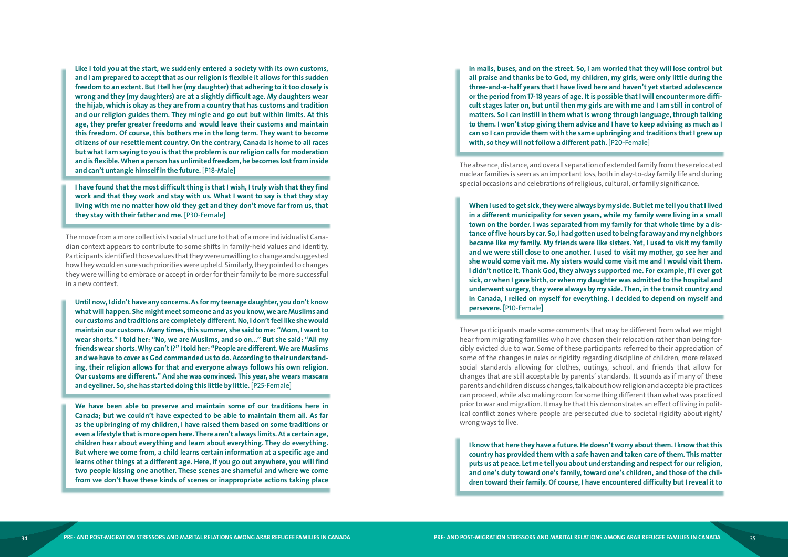**Like I told you at the start, we suddenly entered a society with its own customs, and I am prepared to accept that as our religion is flexible it allows for this sudden freedom to an extent. But I tell her (my daughter) that adhering to it too closely is wrong and they (my daughters) are at a slightly difficult age. My daughters wear the hijab, which is okay as they are from a country that has customs and tradition and our religion guides them. They mingle and go out but within limits. At this age, they prefer greater freedoms and would leave their customs and maintain this freedom. Of course, this bothers me in the long term. They want to become citizens of our resettlement country. On the contrary, Canada is home to all races but what I am saying to you is that the problem is our religion calls for moderation and is flexible. When a person has unlimited freedom, he becomes lost from inside and can't untangle himself in the future.** [P18-Male]

**I have found that the most difficult thing is that I wish, I truly wish that they find work and that they work and stay with us. What I want to say is that they stay living with me no matter how old they get and they don't move far from us, that they stay with their father and me.** [P30-Female]

The move from a more collectivist social structure to that of a more individualist Cana dian context appears to contribute to some shifts in family-held values and identity. Participants identified those values that they were unwilling to change and suggested how they would ensure such priorities were upheld. Similarly, they pointed to changes they were willing to embrace or accept in order for their family to be more successful in a new context.

**Until now, I didn't have any concerns. As for my teenage daughter, you don't know what will happen. She might meet someone and as you know, we are Muslims and our customs and traditions are completely different. No, I don't feel like she would maintain our customs. Many times, this summer, she said to me: "Mom, I want to wear shorts." I told her: "No, we are Muslims, and so on..." But she said: "All my friends wear shorts. Why can't I?" I told her: "People are different. We are Muslims and we have to cover as God commanded us to do. According to their understand ing, their religion allows for that and everyone always follows his own religion. Our customs are different." And she was convinced. This year, she wears mascara and eyeliner. So, she has started doing this little by little.** [P25-Female]

**We have been able to preserve and maintain some of our traditions here in Canada; but we couldn't have expected to be able to maintain them all. As far as the upbringing of my children, I have raised them based on some traditions or even a lifestyle that is more open here. There aren't always limits. At a certain age, children hear about everything and learn about everything. They do everything. But where we come from, a child learns certain information at a specific age and learns other things at a different age. Here, if you go out anywhere, you will find two people kissing one another. These scenes are shameful and where we come from we don't have these kinds of scenes or inappropriate actions taking place** 

**in malls, buses, and on the street. So, I am worried that they will lose control but all praise and thanks be to God, my children, my girls, were only little during the three-and-a-half years that I have lived here and haven't yet started adolescence or the period from 17-18 years of age. It is possible that I will encounter more diffi cult stages later on, but until then my girls are with me and I am still in control of matters. So I can instill in them what is wrong through language, through talking to them. I won't stop giving them advice and I have to keep advising as much as I can so I can provide them with the same upbringing and traditions that I grew up with, so they will not follow a different path.** [P20-Female]

The absence, distance, and overall separation of extended family from these relocated nuclear families is seen as an important loss, both in day-to-day family life and during special occasions and celebrations of religious, cultural, or family significance.

**When I used to get sick, they were always by my side. But let me tell you that I lived in a different municipality for seven years, while my family were living in a small town on the border. I was separated from my family for that whole time by a dis tance of five hours by car. So, I had gotten used to being far away and my neighbors became like my family. My friends were like sisters. Yet, I used to visit my family and we were still close to one another. I used to visit my mother, go see her and she would come visit me. My sisters would come visit me and I would visit them. I didn't notice it. Thank God, they always supported me. For example, if I ever got sick, or when I gave birth, or when my daughter was admitted to the hospital and underwent surgery, they were always by my side. Then, in the transit country and in Canada, I relied on myself for everything. I decided to depend on myself and persevere.** [P10-Female]

These participants made some comments that may be different from what we might hear from migrating families who have chosen their relocation rather than being for cibly evicted due to war. Some of these participants referred to their appreciation of some of the changes in rules or rigidity regarding discipline of children, more relaxed social standards allowing for clothes, outings, school, and friends that allow for changes that are still acceptable by parents' standards. It sounds as if many of these parents and children discuss changes, talk about how religion and acceptable practices can proceed, while also making room for something different than what was practiced prior to war and migration. It may be that this demonstrates an effect of living in polit ical conflict zones where people are persecuted due to societal rigidity about right/ wrong ways to live.

**I know that here they have a future. He doesn't worry about them. I know that this country has provided them with a safe haven and taken care of them. This matter puts us at peace. Let me tell you about understanding and respect for our religion, and one's duty toward one's family, toward one's children, and those of the chil dren toward their family. Of course, I have encountered difficulty but I reveal it to**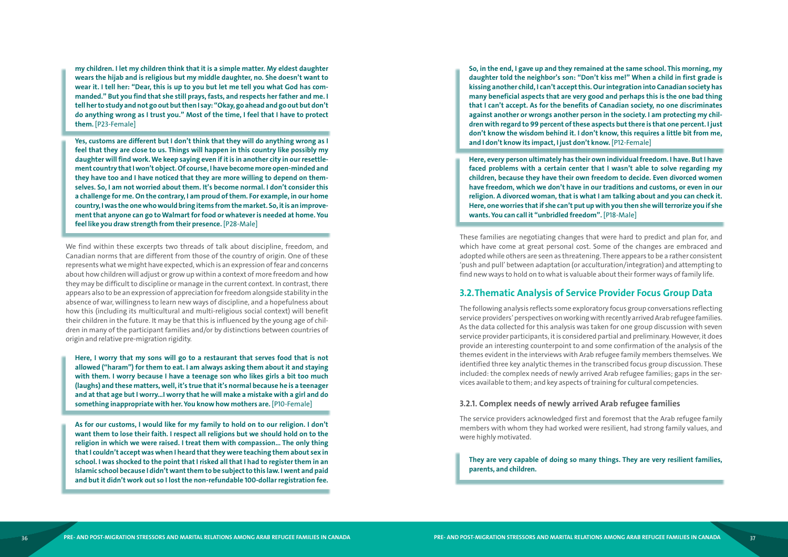<span id="page-19-0"></span>**my children. I let my children think that it is a simple matter. My eldest daughter wears the hijab and is religious but my middle daughter, no. She doesn't want to wear it. I tell her: "Dear, this is up to you but let me tell you what God has com manded." But you find that she still prays, fasts, and respects her father and me. I tell her to study and not go out but then I say: "Okay, go ahead and go out but don't do anything wrong as I trust you." Most of the time, I feel that I have to protect them.** [P23-Female]

**Yes, customs are different but I don't think that they will do anything wrong as I feel that they are close to us. Things will happen in this country like possibly my daughter will find work. We keep saying even if it is in another city in our resettle ment country that I won't object. Of course, I have become more open-minded and they have too and I have noticed that they are more willing to depend on them selves. So, I am not worried about them. It's become normal. I don't consider this a challenge for me. On the contrary, I am proud of them. For example, in our home country, I was the one who would bring items from the market. So, it is an improve ment that anyone can go to Walmart for food or whatever is needed at home. You feel like you draw strength from their presence.** [P28-Male]

We find within these excerpts two threads of talk about discipline, freedom, and Canadian norms that are different from those of the country of origin. One of these represents what we might have expected, which is an expression of fear and concerns about how children will adjust or grow up within a context of more freedom and how they may be difficult to discipline or manage in the current context. In contrast, there appears also to be an expression of appreciation for freedom alongside stability in the absence of war, willingness to learn new ways of discipline, and a hopefulness about how this (including its multicultural and multi-religious social context) will benefit their children in the future. It may be that this is influenced by the young age of chil dren in many of the participant families and/or by distinctions between countries of origin and relative pre-migration rigidity.

**Here, I worry that my sons will go to a restaurant that serves food that is not allowed ("haram") for them to eat. I am always asking them about it and staying with them. I worry because I have a teenage son who likes girls a bit too much (laughs) and these matters, well, it's true that it's normal because he is a teenager and at that age but I worry...I worry that he will make a mistake with a girl and do something inappropriate with her. You know how mothers are.** [P10-Female]

**As for our customs, I would like for my family to hold on to our religion. I don't want them to lose their faith. I respect all religions but we should hold on to the religion in which we were raised. I treat them with compassion… The only thing that I couldn't accept was when I heard that they were teaching them about sex in school. I was shocked to the point that I risked all that I had to register them in an Islamic school because I didn't want them to be subject to this law. I went and paid and but it didn't work out so I lost the non-refundable 100-dollar registration fee.** 

**So, in the end, I gave up and they remained at the same school. This morning, my daughter told the neighbor's son: "Don't kiss me!" When a child in first grade is kissing another child, I can't accept this. Our integration into Canadian society has many beneficial aspects that are very good and perhaps this is the one bad thing that I can't accept. As for the benefits of Canadian society, no one discriminates against another or wrongs another person in the society. I am protecting my chil dren with regard to 99 percent of these aspects but there is that one percent. I just don't know the wisdom behind it. I don't know, this requires a little bit from me, and I don't know its impact, I just don't know.** [P12-Female]

**Here, every person ultimately has their own individual freedom. I have. But I have faced problems with a certain center that I wasn't able to solve regarding my children, because they have their own freedom to decide. Even divorced women have freedom, which we don't have in our traditions and customs, or even in our religion. A divorced woman, that is what I am talking about and you can check it. Here, one worries that if she can't put up with you then she will terrorize you if she wants. You can call it "unbridled freedom".** [P18-Male]

These families are negotiating changes that were hard to predict and plan for, and which have come at great personal cost. Some of the changes are embraced and adopted while others are seen as threatening. There appears to be a rather consistent 'push and pull' between adaptation (or acculturation/integration) and attempting to find new ways to hold on to what is valuable about their former ways of family life.

### **3.2.Thematic Analysis of Service Provider Focus Group Data**

The following analysis reflects some exploratory focus group conversations reflecting service providers' perspectives on working with recently arrived Arab refugee families. As the data collected for this analysis was taken for one group discussion with seven service provider participants, it is considered partial and preliminary. However, it does provide an interesting counterpoint to and some confirmation of the analysis of the themes evident in the interviews with Arab refugee family members themselves. We identified three key analytic themes in the transcribed focus group discussion. These included: the complex needs of newly arrived Arab refugee families; gaps in the ser vices available to them; and key aspects of training for cultural competencies.

#### **3.2.1. Complex needs of newly arrived Arab refugee families**

The service providers acknowledged first and foremost that the Arab refugee family members with whom they had worked were resilient, had strong family values, and were highly motivated.

#### **They are very capable of doing so many things. They are very resilient families,**

**parents, and children.**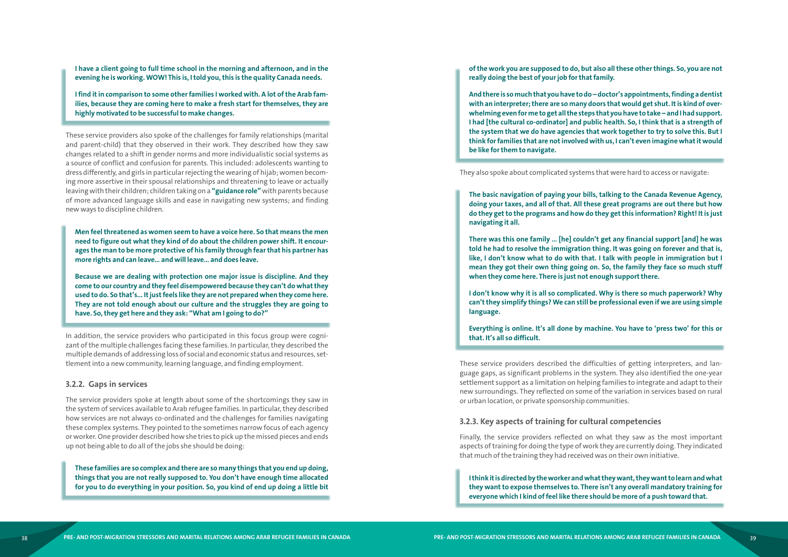**I have a client going to full time school in the morning and afternoon, and in the evening he is working. WOW! This is, I told you, this is the quality Canada needs.**

**I find it in comparison to some other families I worked with. A lot of the Arab fam ilies, because they are coming here to make a fresh start for themselves, they are highly motivated to be successful to make changes.**

These service providers also spoke of the challenges for family relationships (marital and parent-child) that they observed in their work. They described how they saw changes related to a shift in gender norms and more individualistic social systems as a source of conflict and confusion for parents. This included: adolescents wanting to dress differently, and girls in particular rejecting the wearing of hijab; women becom ing more assertive in their spousal relationships and threatening to leave or actually leaving with their children; children taking on a **"guidance role"** with parents because of more advanced language skills and ease in navigating new systems; and finding new ways to discipline children.

**Men feel threatened as women seem to have a voice here. So that means the men need to figure out what they kind of do about the children power shift. It encour ages the man to be more protective of his family through fear that his partner has more rights and can leave… and will leave… and does leave.**

**Because we are dealing with protection one major issue is discipline. And they come to our country and they feel disempowered because they can't do what they used to do. So that's... It just feels like they are not prepared when they come here. They are not told enough about our culture and the struggles they are going to have. So, they get here and they ask: "What am I going to do?"**

In addition, the service providers who participated in this focus group were cogni zant of the multiple challenges facing these families. In particular, they described the multiple demands of addressing loss of social and economic status and resources, set tlement into a new community, learning language, and finding employment.

#### **3.2.2. Gaps in services**

The service providers spoke at length about some of the shortcomings they saw in the system of services available to Arab refugee families. In particular, they described how services are not always co-ordinated and the challenges for families navigating these complex systems. They pointed to the sometimes narrow focus of each agency or worker. One provider described how she tries to pick up the missed pieces and ends up not being able to do all of the jobs she should be doing:

**These families are so complex and there are so many things that you end up doing, things that you are not really supposed to. You don't have enough time allocated for you to do everything in your position. So, you kind of end up doing a little bit**  **of the work you are supposed to do, but also all these other things. So, you are not really doing the best of your job for that family.**

**And there is so much that you have to do – doctor's appointments, finding a dentist with an interpreter; there are so many doors that would get shut. It is kind of over whelming even for me to get all the steps that you have to take – and I had support. I had [the cultural co-ordinator] and public health. So, I think that is a strength of the system that we do have agencies that work together to try to solve this. But I think for families that are not involved with us, I can't even imagine what it would be like for them to navigate.**

They also spoke about complicated systems that were hard to access or navigate:

**The basic navigation of paying your bills, talking to the Canada Revenue Agency, doing your taxes, and all of that. All these great programs are out there but how do they get to the programs and how do they get this information? Right! It is just navigating it all.** 

**There was this one family … [he] couldn't get any financial support [and] he was told he had to resolve the immigration thing. It was going on forever and that is, like, I don't know what to do with that. I talk with people in immigration but I mean they got their own thing going on. So, the family they face so much stuff when they come here. There is just not enough support there.** 

**I don't know why it is all so complicated. Why is there so much paperwork? Why can't they simplify things? We can still be professional even if we are using simple language.**

**Everything is online. It's all done by machine. You have to 'press two' for this or that. It's all so difficult.** 

These service providers described the difficulties of getting interpreters, and lan guage gaps, as significant problems in the system. They also identified the one-year settlement support as a limitation on helping families to integrate and adapt to their new surroundings. They reflected on some of the variation in services based on rural or urban location, or private sponsorship communities.

#### **3.2.3. Key aspects of training for cultural competencies**

Finally, the service providers reflected on what they saw as the most important aspects of training for doing the type of work they are currently doing. They indicated that much of the training they had received was on their own initiative.

**I think it is directed by the worker and what they want, they want to learn and what they want to expose themselves to. There isn't any overall mandatory training for everyone which I kind of feel like there should be more of a push toward that.**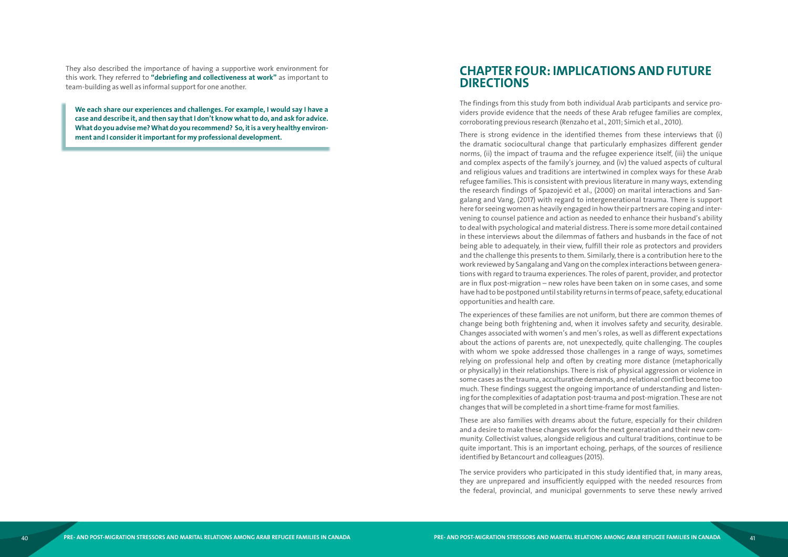<span id="page-21-0"></span>They also described the importance of having a supportive work environment for this work. They referred to **"debriefing and collectiveness at work"** as important to team-building as well as informal support for one another.

**We each share our experiences and challenges. For example, I would say I have a case and describe it, and then say that I don't know what to do, and ask for advice. What do you advise me? What do you recommend? So, it is a very healthy environment and I consider it important for my professional development.** 

# **CHAPTER FOUR: IMPLICATIONS AND FUTURE DIRECTIONS**

The findings from this study from both individual Arab participants and service providers provide evidence that the needs of these Arab refugee families are complex, corroborating previous research (Renzaho et al., 2011; Simich et al., 2010).

There is strong evidence in the identified themes from these interviews that (i) the dramatic sociocultural change that particularly emphasizes different gender norms, (ii) the impact of trauma and the refugee experience itself, (iii) the unique and complex aspects of the family's journey, and (iv) the valued aspects of cultural and religious values and traditions are intertwined in complex ways for these Arab refugee families. This is consistent with previous literature in many ways, extending the research findings of Spazojević et al., (2000) on marital interactions and Sangalang and Vang, (2017) with regard to intergenerational trauma. There is support here for seeing women as heavily engaged in how their partners are coping and intervening to counsel patience and action as needed to enhance their husband's ability to deal with psychological and material distress. There is some more detail contained in these interviews about the dilemmas of fathers and husbands in the face of not being able to adequately, in their view, fulfill their role as protectors and providers and the challenge this presents to them. Similarly, there is a contribution here to the work reviewed by Sangalang and Vang on the complex interactions between generations with regard to trauma experiences. The roles of parent, provider, and protector are in flux post-migration – new roles have been taken on in some cases, and some have had to be postponed until stability returns in terms of peace, safety, educational opportunities and health care.

The experiences of these families are not uniform, but there are common themes of change being both frightening and, when it involves safety and security, desirable. Changes associated with women's and men's roles, as well as different expectations about the actions of parents are, not unexpectedly, quite challenging. The couples with whom we spoke addressed those challenges in a range of ways, sometimes relying on professional help and often by creating more distance (metaphorically or physically) in their relationships. There is risk of physical aggression or violence in some cases as the trauma, acculturative demands, and relational conflict become too much. These findings suggest the ongoing importance of understanding and listening for the complexities of adaptation post-trauma and post-migration. These are not changes that will be completed in a short time-frame for most families.

These are also families with dreams about the future, especially for their children and a desire to make these changes work for the next generation and their new community. Collectivist values, alongside religious and cultural traditions, continue to be quite important. This is an important echoing, perhaps, of the sources of resilience identified by Betancourt and colleagues (2015).

The service providers who participated in this study identified that, in many areas, they are unprepared and insufficiently equipped with the needed resources from the federal, provincial, and municipal governments to serve these newly arrived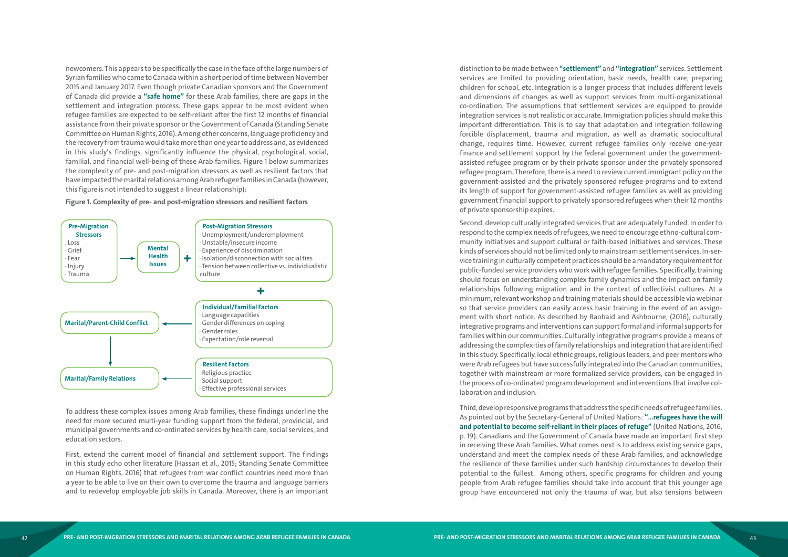newcomers. This appears to be specifically the case in the face of the large numbers of Syrian families who came to Canada within a short period of time between November 2015 and January 2017. Even though private Canadian sponsors and the Government of Canada did provide a **"safe home"** for these Arab families, there are gaps in the settlement and integration process. These gaps appear to be most evident when refugee families are expected to be self-reliant after the first 12 months of financial assistance from their private sponsor or the Government of Canada (Standing Senate Committee on Human Rights, 2016). Among other concerns, language proficiency and the recovery from trauma would take more than one year to address and, as evidenced in this study's findings, significantly influence the physical, psychological, social, familial, and financial well-being of these Arab families. Figure 1 below summarizes the complexity of pre- and post-migration stressors as well as resilient factors that have impacted the marital relations among Arab refugee families in Canada (however, this figure is not intended to suggest a linear relationship):

#### **Figure 1. Complexity of pre- and post-migration stressors and resilient factors**

To address these complex issues among Arab families, these findings underline the need for more secured multi-year funding support from the federal, provincial, and municipal governments and co-ordinated services by health care, social services, and education sectors.

First, extend the current model of financial and settlement support. The findings in this study echo other literature (Hassan et al., 2015; Standing Senate Committee on Human Rights, 2016) that refugees from war conflict countries need more than a year to be able to live on their own to overcome the trauma and language barriers and to redevelop employable job skills in Canada. Moreover, there is an important

distinction to be made between **"settlement"** and **"integration"** services. Settlement services are limited to providing orientation, basic needs, health care, preparing children for school, etc. Integration is a longer process that includes different levels and dimensions of changes as well as support services from multi-organizational co-ordination. The assumptions that settlement services are equipped to provide integration services is not realistic or accurate. Immigration policies should make this important differentiation. This is to say that adaptation and integration following forcible displacement, trauma and migration, as well as dramatic sociocultural change, requires time. However, current refugee families only receive one-year finance and settlement support by the federal government under the governmentassisted refugee program or by their private sponsor under the privately sponsored refugee program. Therefore, there is a need to review current immigrant policy on the government-assisted and the privately sponsored refugee programs and to extend its length of support for government-assisted refugee families as well as providing government financial support to privately sponsored refugees when their 12 months of private sponsorship expires.

Second, develop culturally integrated services that are adequately funded. In order to respond to the complex needs of refugees, we need to encourage ethno-cultural com munity initiatives and support cultural or faith-based initiatives and services. These kinds of services should not be limited only to mainstream settlement services. In-ser vice training in culturally competent practices should be a mandatory requirement for public-funded service providers who work with refugee families. Specifically, training should focus on understanding complex family dynamics and the impact on family relationships following migration and in the context of collectivist cultures. At a minimum, relevant workshop and training materials should be accessible via webinar so that service providers can easily access basic training in the event of an assign ment with short notice. As described by Baobaid and Ashbourne, (2016), culturally integrative programs and interventions can support formal and informal supports for families within our communities. Culturally integrative programs provide a means of addressing the complexities of family relationships and integration that are identified in this study. Specifically, local ethnic groups, religious leaders, and peer mentors who were Arab refugees but have successfully integrated into the Canadian communities, together with mainstream or more formalized service providers, can be engaged in the process of co-ordinated program development and interventions that involve col laboration and inclusion.

Third, develop responsive programs that address the specific needs of refugee families. As pointed out by the Secretary-General of United Nations: **"…refugees have the will and potential to become self-reliant in their places of refuge"** (United Nations, 2016, p. 19). Canadians and the Government of Canada have made an important first step in receiving these Arab families. What comes next is to address existing service gaps, understand and meet the complex needs of these Arab families, and acknowledge the resilience of these families under such hardship circumstances to develop their potential to the fullest. Among others, specific programs for children and young people from Arab refugee families should take into account that this younger age group have encountered not only the trauma of war, but also tensions between

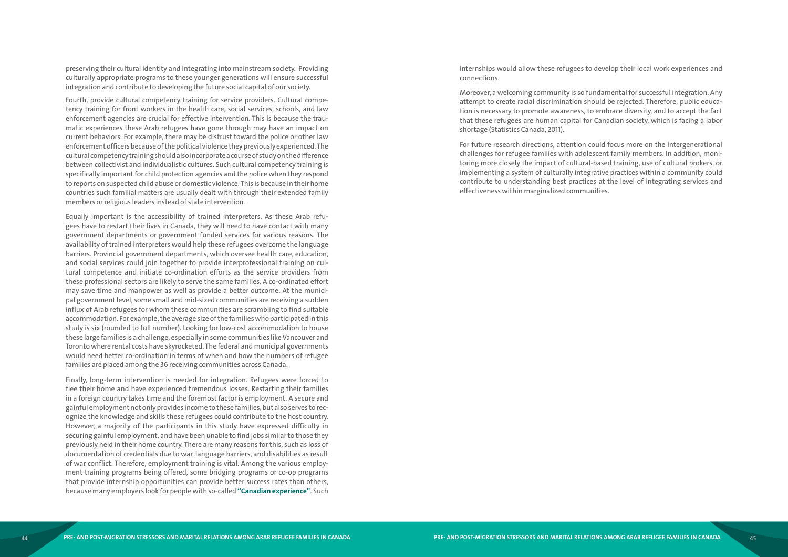preserving their cultural identity and integrating into mainstream society. Providing culturally appropriate programs to these younger generations will ensure successful integration and contribute to developing the future social capital of our society.

Fourth, provide cultural competency training for service providers. Cultural competency training for front workers in the health care, social services, schools, and law enforcement agencies are crucial for effective intervention. This is because the traumatic experiences these Arab refugees have gone through may have an impact on current behaviors. For example, there may be distrust toward the police or other law enforcement officers because of the political violence they previously experienced. The cultural competency training should also incorporate a course of study on the difference between collectivist and individualistic cultures. Such cultural competency training is specifically important for child protection agencies and the police when they respond to reports on suspected child abuse or domestic violence. This is because in their home countries such familial matters are usually dealt with through their extended family members or religious leaders instead of state intervention.

Equally important is the accessibility of trained interpreters. As these Arab refugees have to restart their lives in Canada, they will need to have contact with many government departments or government funded services for various reasons. The availability of trained interpreters would help these refugees overcome the language barriers. Provincial government departments, which oversee health care, education, and social services could join together to provide interprofessional training on cultural competence and initiate co-ordination efforts as the service providers from these professional sectors are likely to serve the same families. A co-ordinated effort may save time and manpower as well as provide a better outcome. At the municipal government level, some small and mid-sized communities are receiving a sudden influx of Arab refugees for whom these communities are scrambling to find suitable accommodation. For example, the average size of the families who participated in this study is six (rounded to full number). Looking for low-cost accommodation to house these large families is a challenge, especially in some communities like Vancouver and Toronto where rental costs have skyrocketed. The federal and municipal governments would need better co-ordination in terms of when and how the numbers of refugee families are placed among the 36 receiving communities across Canada.

Finally, long-term intervention is needed for integration. Refugees were forced to flee their home and have experienced tremendous losses. Restarting their families in a foreign country takes time and the foremost factor is employment. A secure and gainful employment not only provides income to these families, but also serves to recognize the knowledge and skills these refugees could contribute to the host country. However, a majority of the participants in this study have expressed difficulty in securing gainful employment, and have been unable to find jobs similar to those they previously held in their home country. There are many reasons for this, such as loss of documentation of credentials due to war, language barriers, and disabilities as result of war conflict. Therefore, employment training is vital. Among the various employment training programs being offered, some bridging programs or co-op programs that provide internship opportunities can provide better success rates than others, because many employers look for people with so-called **"Canadian experience"**. Such

internships would allow these refugees to develop their local work experiences and connections.

Moreover, a welcoming community is so fundamental for successful integration. Any attempt to create racial discrimination should be rejected. Therefore, public education is necessary to promote awareness, to embrace diversity, and to accept the fact that these refugees are human capital for Canadian society, which is facing a labor shortage (Statistics Canada, 2011).

For future research directions, attention could focus more on the intergenerational challenges for refugee families with adolescent family members. In addition, monitoring more closely the impact of cultural-based training, use of cultural brokers, or implementing a system of culturally integrative practices within a community could contribute to understanding best practices at the level of integrating services and effectiveness within marginalized communities.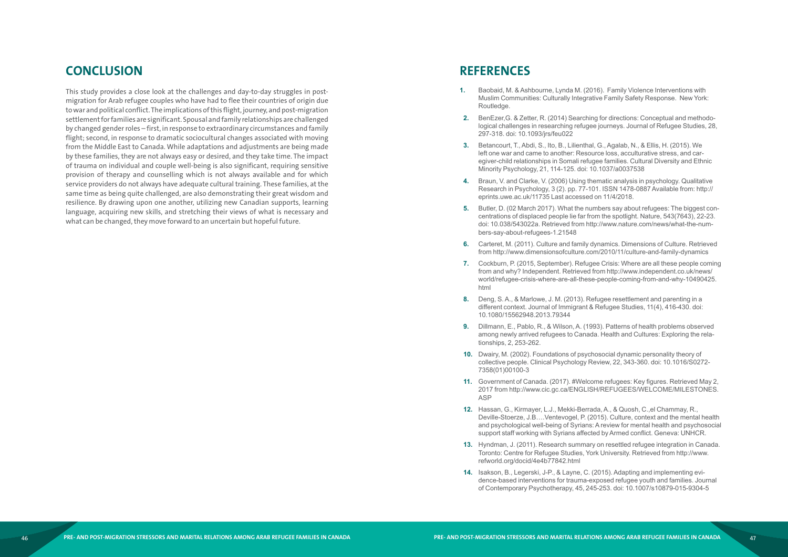# <span id="page-24-0"></span>**CONCLUSION**

This study provides a close look at the challenges and day-to-day struggles in postmigration for Arab refugee couples who have had to flee their countries of origin due to war and political conflict. The implications of this flight, journey, and post-migration settlement for families are significant. Spousal and family relationships are challenged by changed gender roles – first, in response to extraordinary circumstances and family flight; second, in response to dramatic sociocultural changes associated with moving from the Middle East to Canada. While adaptations and adjustments are being made by these families, they are not always easy or desired, and they take time. The impact of trauma on individual and couple well-being is also significant, requiring sensitive provision of therapy and counselling which is not always available and for which service providers do not always have adequate cultural training. These families, at the same time as being quite challenged, are also demonstrating their great wisdom and resilience. By drawing upon one another, utilizing new Canadian supports, learning language, acquiring new skills, and stretching their views of what is necessary and what can be changed, they move forward to an uncertain but hopeful future.

# **REFERENCES**

logical challenges in researching refugee journeys. Journal of Refugee Studies, 28,

Research in Psychology, 3 (2). pp. 77-101. ISSN 1478-0887 Available from: http://

centrations of displaced people lie far from the spotlight. Nature, 543(7643), 22-23. doi: 10.038/543022a. Retrieved from http://www.nature.com/news/what-the-num-

- **1.** Baobaid, M. & Ashbourne, Lynda M. (2016). Family Violence Interventions with Muslim Communities: Culturally Integrative Family Safety Response. New York: Routledge.
- **2.** BenEzer,G. & Zetter, R. (2014) Searching for directions: Conceptual and methodo-297-318. doi: 10.1093/jrs/feu022
- **3.** Betancourt, T., Abdi, S., Ito, B., Lilienthal, G., Agalab, N., & Ellis, H. (2015). We left one war and came to another: Resource loss, acculturative stress, and caregiver-child relationships in Somali refugee families. Cultural Diversity and Ethnic Minority Psychology, 21, 114-125. doi: 10.1037/a0037538
- **4.** Braun, V. and Clarke, V. (2006) Using thematic analysis in psychology. Qualitative eprints.uwe.ac.uk/11735 Last accessed on 11/4/2018.
- **5.** Butler, D. (02 March 2017). What the numbers say about refugees: The biggest conbers-say-about-refugees-1.21548
- **6.** Carteret, M. (2011). Culture and family dynamics. Dimensions of Culture. Retrieved from http://www.dimensionsofculture.com/2010/11/culture-and-family-dynamics
- **7.** Cockburn, P. (2015, September). Refugee Crisis: Where are all these people coming from and why? Independent. Retrieved from http://www.independent.co.uk/news/ html
- **8.** Deng, S. A., & Marlowe, J. M. (2013). Refugee resettlement and parenting in a different context. Journal of Immigrant & Refugee Studies, 11(4), 416-430. doi: 10.1080/15562948.2013.79344
- **9.** Dillmann, E., Pablo, R., & Wilson, A. (1993). Patterns of health problems observed tionships, 2, 253-262.
- **10.** Dwairy, M. (2002). Foundations of psychosocial dynamic personality theory of collective people. Clinical Psychology Review, 22, 343-360. doi: 10.1016/S0272- 7358(01)00100-3
- **11.** Government of Canada. (2017). #Welcome refugees: Key figures. Retrieved May 2, ASP
- **12.** Hassan, G., Kirmayer, L.J., Mekki-Berrada, A., & Quosh, C.,el Chammay, R., support staff working with Syrians affected by Armed conflict. Geneva: UNHCR.
- **13.** Hyndman, J. (2011). Research summary on resettled refugee integration in Canada. Toronto: Centre for Refugee Studies, York University. Retrieved from http://www. refworld.org/docid/4e4b77842.html
- **14.** Isakson, B., Legerski, J-P., & Layne, C. (2015). Adapting and implementing eviof Contemporary Psychotherapy, 45, 245-253. doi: 10.1007/s10879-015-9304-5

world/refugee-crisis-where-are-all-these-people-coming-from-and-why-10490425.

among newly arrived refugees to Canada. Health and Cultures: Exploring the rela-

2017 from http://www.cic.gc.ca/ENGLISH/REFUGEES/WELCOME/MILESTONES.

Deville-Stoerze, J.B….Ventevogel, P. (2015). Culture, context and the mental health and psychological well-being of Syrians: A review for mental health and psychosocial

dence-based interventions for trauma-exposed refugee youth and families. Journal